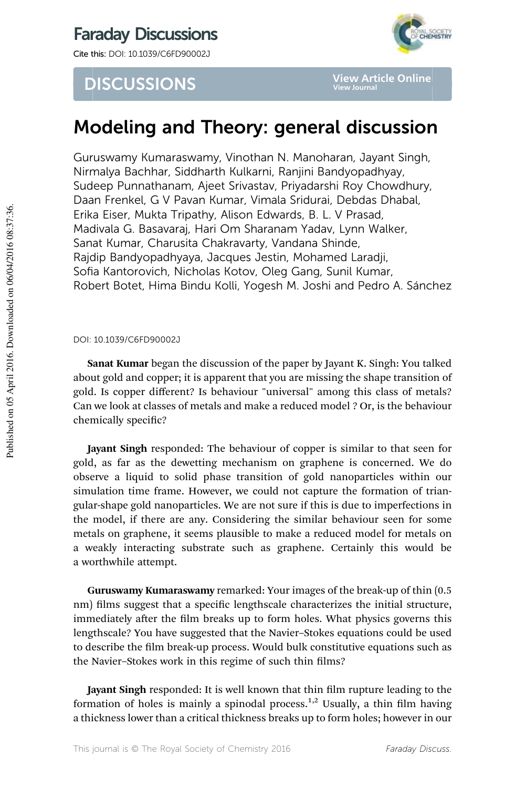Cite this: DOI: 10.1039/C6FD90002J



## **DISCUSSIONS**

**View Article Online View Journal**

# Modeling and Theory: general discussion

Guruswamy Kumaraswamy, Vinothan N. Manoharan, Jayant Singh, Nirmalya Bachhar, Siddharth Kulkarni, Ranjini Bandyopadhyay, Sudeep Punnathanam, Ajeet Srivastav, Priyadarshi Roy Chowdhury, Daan Frenkel, G V Pavan Kumar, Vimala Sridurai, Debdas Dhabal, Erika Eiser, Mukta Tripathy, Alison Edwards, B. L. V Prasad, Madivala G. Basavaraj, Hari Om Sharanam Yadav, Lynn Walker, Sanat Kumar, Charusita Chakravarty, Vandana Shinde, Rajdip Bandyopadhyaya, Jacques Jestin, Mohamed Laradji, Sofia Kantorovich, Nicholas Kotov, Oleg Gang, Sunil Kumar, Robert Botet, Hima Bindu Kolli, Yogesh M. Joshi and Pedro A. Sánchez

DOI: 10.1039/C6FD90002J

Sanat Kumar began the discussion of the paper by Jayant K. Singh: You talked about gold and copper; it is apparent that you are missing the shape transition of gold. Is copper different? Is behaviour "universal" among this class of metals? Can we look at classes of metals and make a reduced model ? Or, is the behaviour chemically specific?

Jayant Singh responded: The behaviour of copper is similar to that seen for gold, as far as the dewetting mechanism on graphene is concerned. We do observe a liquid to solid phase transition of gold nanoparticles within our simulation time frame. However, we could not capture the formation of triangular-shape gold nanoparticles. We are not sure if this is due to imperfections in the model, if there are any. Considering the similar behaviour seen for some metals on graphene, it seems plausible to make a reduced model for metals on a weakly interacting substrate such as graphene. Certainly this would be a worthwhile attempt.

Guruswamy Kumaraswamy remarked: Your images of the break-up of thin (0.5 nm) films suggest that a specific lengthscale characterizes the initial structure, immediately after the film breaks up to form holes. What physics governs this lengthscale? You have suggested that the Navier–Stokes equations could be used to describe the film break-up process. Would bulk constitutive equations such as the Navier-Stokes work in this regime of such thin films?

Jayant Singh responded: It is well known that thin film rupture leading to the formation of holes is mainly a spinodal process.<sup>1,2</sup> Usually, a thin film having a thickness lower than a critical thickness breaks up to form holes; however in our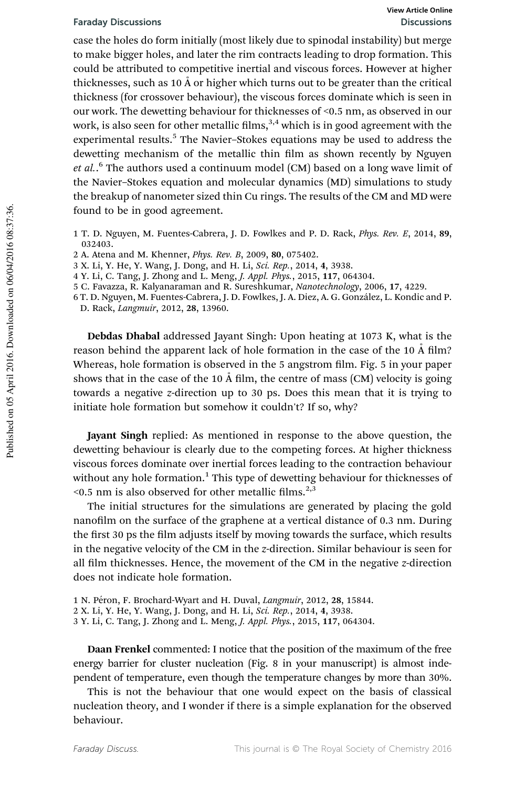case the holes do form initially (most likely due to spinodal instability) but merge to make bigger holes, and later the rim contracts leading to drop formation. This could be attributed to competitive inertial and viscous forces. However at higher thicknesses, such as 10 Å or higher which turns out to be greater than the critical thickness (for crossover behaviour), the viscous forces dominate which is seen in our work. The dewetting behaviour for thicknesses of <0.5 nm, as observed in our work, is also seen for other metallic films,  $3,4$  which is in good agreement with the experimental results.<sup>5</sup> The Navier-Stokes equations may be used to address the dewetting mechanism of the metallic thin film as shown recently by Nguyen et al..<sup>6</sup> The authors used a continuum model (CM) based on a long wave limit of the Navier–Stokes equation and molecular dynamics (MD) simulations to study the breakup of nanometer sized thin Cu rings. The results of the CM and MD were found to be in good agreement.

- 1 T. D. Nguyen, M. Fuentes-Cabrera, J. D. Fowlkes and P. D. Rack, Phys. Rev. E, 2014, 89, 032403.
- 2 A. Atena and M. Khenner, Phys. Rev. B, 2009, 80, 075402.
- 3 X. Li, Y. He, Y. Wang, J. Dong, and H. Li, Sci. Rep., 2014, 4, 3938.
- 4 Y. Li, C. Tang, J. Zhong and L. Meng, J. Appl. Phys., 2015, 117, 064304.
- 5 C. Favazza, R. Kalyanaraman and R. Sureshkumar, Nanotechnology, 2006, 17, 4229.
- 6 T. D. Nguyen, M. Fuentes-Cabrera, J. D. Fowlkes, J. A. Diez, A. G. Gonz´alez, L. Kondic and P.

D. Rack, Langmuir, 2012, 28, 13960.

Debdas Dhabal addressed Jayant Singh: Upon heating at 1073 K, what is the reason behind the apparent lack of hole formation in the case of the 10  $\AA$  film? Whereas, hole formation is observed in the 5 angstrom film. Fig. 5 in your paper shows that in the case of the 10  $\AA$  film, the centre of mass (CM) velocity is going towards a negative z-direction up to 30 ps. Does this mean that it is trying to initiate hole formation but somehow it couldn't? If so, why?

Jayant Singh replied: As mentioned in response to the above question, the dewetting behaviour is clearly due to the competing forces. At higher thickness viscous forces dominate over inertial forces leading to the contraction behaviour without any hole formation.<sup>1</sup> This type of dewetting behaviour for thicknesses of  $\leq$  0.5 nm is also observed for other metallic films.<sup>2,3</sup>

The initial structures for the simulations are generated by placing the gold nanofilm on the surface of the graphene at a vertical distance of 0.3 nm. During the first 30 ps the film adjusts itself by moving towards the surface, which results in the negative velocity of the CM in the z-direction. Similar behaviour is seen for all film thicknesses. Hence, the movement of the CM in the negative z-direction does not indicate hole formation.

Daan Frenkel commented: I notice that the position of the maximum of the free energy barrier for cluster nucleation (Fig. 8 in your manuscript) is almost independent of temperature, even though the temperature changes by more than 30%.

This is not the behaviour that one would expect on the basis of classical nucleation theory, and I wonder if there is a simple explanation for the observed behaviour.

<sup>1</sup> N. Péron, F. Brochard-Wyart and H. Duval, Langmuir, 2012, 28, 15844. 2 X. Li, Y. He, Y. Wang, J. Dong, and H. Li, Sci. Rep., 2014, 4, 3938.

<sup>3</sup> Y. Li, C. Tang, J. Zhong and L. Meng, J. Appl. Phys., 2015, 117, 064304.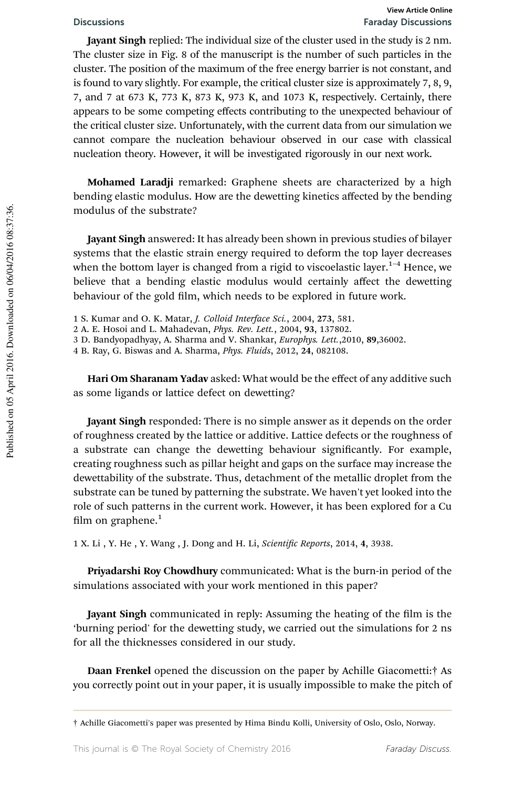Jayant Singh replied: The individual size of the cluster used in the study is 2 nm. The cluster size in Fig. 8 of the manuscript is the number of such particles in the cluster. The position of the maximum of the free energy barrier is not constant, and is found to vary slightly. For example, the critical cluster size is approximately 7, 8, 9, 7, and 7 at 673 K, 773 K, 873 K, 973 K, and 1073 K, respectively. Certainly, there appears to be some competing effects contributing to the unexpected behaviour of the critical cluster size. Unfortunately, with the current data from our simulation we cannot compare the nucleation behaviour observed in our case with classical nucleation theory. However, it will be investigated rigorously in our next work.

Mohamed Laradji remarked: Graphene sheets are characterized by a high bending elastic modulus. How are the dewetting kinetics affected by the bending modulus of the substrate?

Jayant Singh answered: It has already been shown in previous studies of bilayer systems that the elastic strain energy required to deform the top layer decreases when the bottom layer is changed from a rigid to viscoelastic layer.<sup>1-4</sup> Hence, we believe that a bending elastic modulus would certainly affect the dewetting behaviour of the gold film, which needs to be explored in future work.

1 S. Kumar and O. K. Matar, J. Colloid Interface Sci., 2004, 273, 581.

- 2 A. E. Hosoi and L. Mahadevan, Phys. Rev. Lett., 2004, 93, 137802.
- 3 D. Bandyopadhyay, A. Sharma and V. Shankar, Europhys. Lett.,2010, 89,36002.
- 4 B. Ray, G. Biswas and A. Sharma, Phys. Fluids, 2012, 24, 082108.

Hari Om Sharanam Yadav asked: What would be the effect of any additive such as some ligands or lattice defect on dewetting?

Jayant Singh responded: There is no simple answer as it depends on the order of roughness created by the lattice or additive. Lattice defects or the roughness of a substrate can change the dewetting behaviour significantly. For example, creating roughness such as pillar height and gaps on the surface may increase the dewettability of the substrate. Thus, detachment of the metallic droplet from the substrate can be tuned by patterning the substrate. We haven't yet looked into the role of such patterns in the current work. However, it has been explored for a Cu film on graphene. $1$ 

1 X. Li, Y. He, Y. Wang, J. Dong and H. Li, Scientific Reports, 2014, 4, 3938.

Priyadarshi Roy Chowdhury communicated: What is the burn-in period of the simulations associated with your work mentioned in this paper?

Jayant Singh communicated in reply: Assuming the heating of the film is the 'burning period' for the dewetting study, we carried out the simulations for 2 ns for all the thicknesses considered in our study.

Daan Frenkel opened the discussion on the paper by Achille Giacometti:† As you correctly point out in your paper, it is usually impossible to make the pitch of

<sup>†</sup> Achille Giacometti's paper was presented by Hima Bindu Kolli, University of Oslo, Oslo, Norway.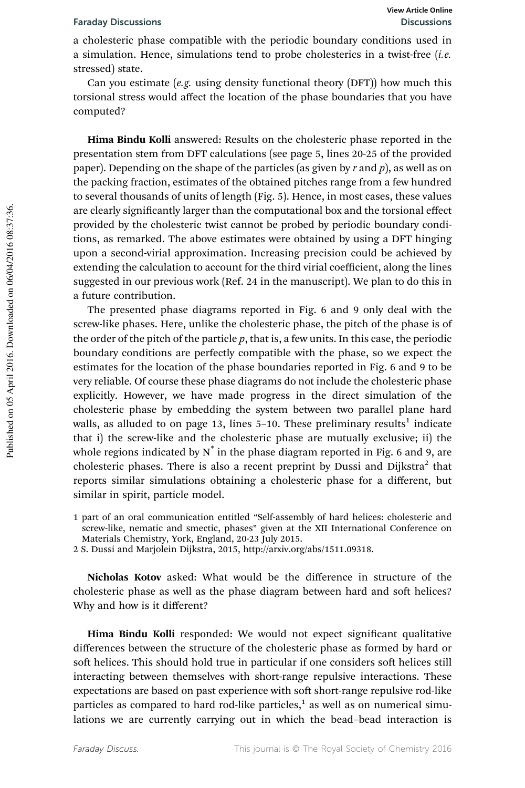a cholesteric phase compatible with the periodic boundary conditions used in a simulation. Hence, simulations tend to probe cholesterics in a twist-free  $(i.e.$ stressed) state.

Can you estimate (e.g. using density functional theory (DFT)) how much this torsional stress would affect the location of the phase boundaries that you have computed?

Hima Bindu Kolli answered: Results on the cholesteric phase reported in the presentation stem from DFT calculations (see page 5, lines 20-25 of the provided paper). Depending on the shape of the particles (as given by  $r$  and  $p$ ), as well as on the packing fraction, estimates of the obtained pitches range from a few hundred to several thousands of units of length (Fig. 5). Hence, in most cases, these values are clearly signicantly larger than the computational box and the torsional effect provided by the cholesteric twist cannot be probed by periodic boundary conditions, as remarked. The above estimates were obtained by using a DFT hinging upon a second-virial approximation. Increasing precision could be achieved by extending the calculation to account for the third virial coefficient, along the lines suggested in our previous work (Ref. 24 in the manuscript). We plan to do this in a future contribution.

The presented phase diagrams reported in Fig. 6 and 9 only deal with the screw-like phases. Here, unlike the cholesteric phase, the pitch of the phase is of the order of the pitch of the particle  $p$ , that is, a few units. In this case, the periodic boundary conditions are perfectly compatible with the phase, so we expect the estimates for the location of the phase boundaries reported in Fig. 6 and 9 to be very reliable. Of course these phase diagrams do not include the cholesteric phase explicitly. However, we have made progress in the direct simulation of the cholesteric phase by embedding the system between two parallel plane hard walls, as alluded to on page 13, lines 5-10. These preliminary results<sup>1</sup> indicate that i) the screw-like and the cholesteric phase are mutually exclusive; ii) the whole regions indicated by N\* in the phase diagram reported in Fig. 6 and 9, are cholesteric phases. There is also a recent preprint by Dussi and Dijkstra<sup>2</sup> that reports similar simulations obtaining a cholesteric phase for a different, but similar in spirit, particle model.

1 part of an oral communication entitled "Self-assembly of hard helices: cholesteric and screw-like, nematic and smectic, phases" given at the XII International Conference on Materials Chemistry, York, England, 20-23 July 2015.

2 S. Dussi and Marjolein Dijkstra, 2015, http://arxiv.org/abs/1511.09318.

Nicholas Kotov asked: What would be the difference in structure of the cholesteric phase as well as the phase diagram between hard and soft helices? Why and how is it different?

Hima Bindu Kolli responded: We would not expect significant qualitative differences between the structure of the cholesteric phase as formed by hard or soft helices. This should hold true in particular if one considers soft helices still interacting between themselves with short-range repulsive interactions. These expectations are based on past experience with soft short-range repulsive rod-like particles as compared to hard rod-like particles, $^1$  as well as on numerical simulations we are currently carrying out in which the bead–bead interaction is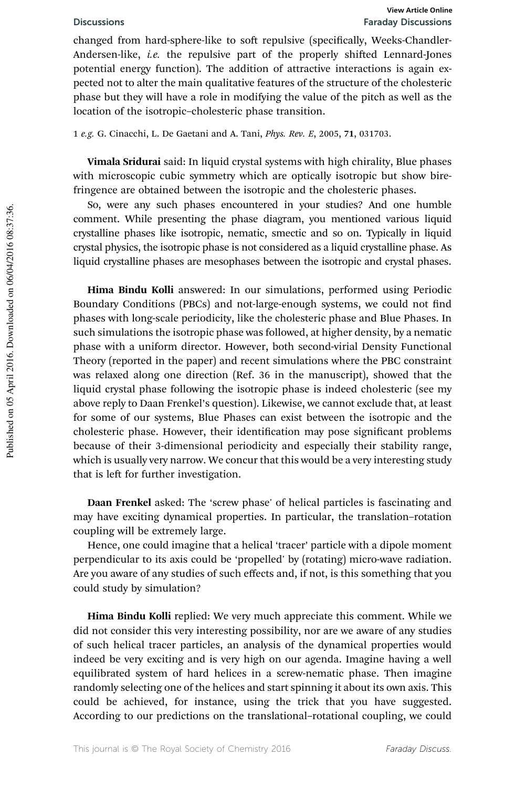changed from hard-sphere-like to soft repulsive (specifically, Weeks-Chandler-Andersen-like, *i.e.* the repulsive part of the properly shifted Lennard-Jones potential energy function). The addition of attractive interactions is again expected not to alter the main qualitative features of the structure of the cholesteric phase but they will have a role in modifying the value of the pitch as well as the location of the isotropic–cholesteric phase transition.

1 e.g. G. Cinacchi, L. De Gaetani and A. Tani, Phys. Rev. E, 2005, 71, 031703.

Vimala Sridurai said: In liquid crystal systems with high chirality, Blue phases with microscopic cubic symmetry which are optically isotropic but show birefringence are obtained between the isotropic and the cholesteric phases.

So, were any such phases encountered in your studies? And one humble comment. While presenting the phase diagram, you mentioned various liquid crystalline phases like isotropic, nematic, smectic and so on. Typically in liquid crystal physics, the isotropic phase is not considered as a liquid crystalline phase. As liquid crystalline phases are mesophases between the isotropic and crystal phases.

Hima Bindu Kolli answered: In our simulations, performed using Periodic Boundary Conditions (PBCs) and not-large-enough systems, we could not find phases with long-scale periodicity, like the cholesteric phase and Blue Phases. In such simulations the isotropic phase was followed, at higher density, by a nematic phase with a uniform director. However, both second-virial Density Functional Theory (reported in the paper) and recent simulations where the PBC constraint was relaxed along one direction (Ref. 36 in the manuscript), showed that the liquid crystal phase following the isotropic phase is indeed cholesteric (see my above reply to Daan Frenkel's question). Likewise, we cannot exclude that, at least for some of our systems, Blue Phases can exist between the isotropic and the cholesteric phase. However, their identification may pose significant problems because of their 3-dimensional periodicity and especially their stability range, which is usually very narrow. We concur that this would be a very interesting study that is left for further investigation.

Daan Frenkel asked: The 'screw phase' of helical particles is fascinating and may have exciting dynamical properties. In particular, the translation–rotation coupling will be extremely large.

Hence, one could imagine that a helical 'tracer' particle with a dipole moment perpendicular to its axis could be 'propelled' by (rotating) micro-wave radiation. Are you aware of any studies of such effects and, if not, is this something that you could study by simulation?

Hima Bindu Kolli replied: We very much appreciate this comment. While we did not consider this very interesting possibility, nor are we aware of any studies of such helical tracer particles, an analysis of the dynamical properties would indeed be very exciting and is very high on our agenda. Imagine having a well equilibrated system of hard helices in a screw-nematic phase. Then imagine randomly selecting one of the helices and start spinning it about its own axis. This could be achieved, for instance, using the trick that you have suggested. According to our predictions on the translational–rotational coupling, we could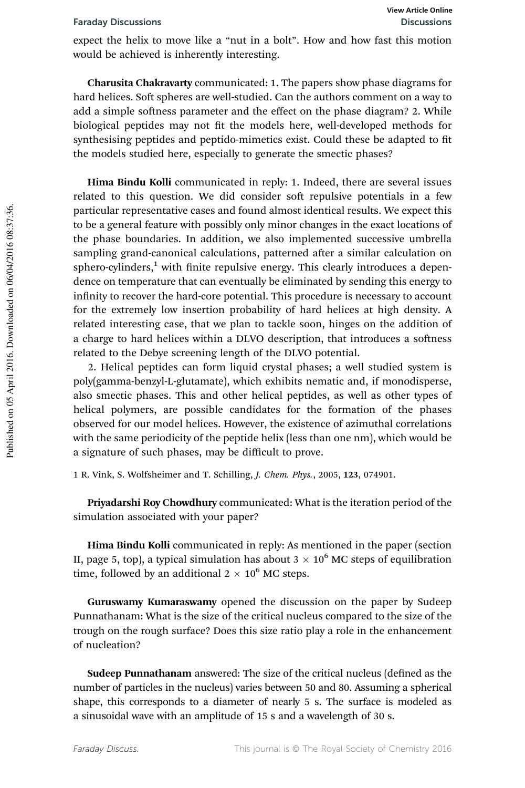### **Faraday Discussions Discussions Discussions**

expect the helix to move like a "nut in a bolt". How and how fast this motion would be achieved is inherently interesting.

Charusita Chakravarty communicated: 1. The papers show phase diagrams for hard helices. Soft spheres are well-studied. Can the authors comment on a way to add a simple softness parameter and the effect on the phase diagram? 2. While biological peptides may not fit the models here, well-developed methods for synthesising peptides and peptido-mimetics exist. Could these be adapted to fit the models studied here, especially to generate the smectic phases?

Hima Bindu Kolli communicated in reply: 1. Indeed, there are several issues related to this question. We did consider soft repulsive potentials in a few particular representative cases and found almost identical results. We expect this to be a general feature with possibly only minor changes in the exact locations of the phase boundaries. In addition, we also implemented successive umbrella sampling grand-canonical calculations, patterned after a similar calculation on sphero-cylinders, $<sup>1</sup>$  with finite repulsive energy. This clearly introduces a depen-</sup> dence on temperature that can eventually be eliminated by sending this energy to infinity to recover the hard-core potential. This procedure is necessary to account for the extremely low insertion probability of hard helices at high density. A related interesting case, that we plan to tackle soon, hinges on the addition of a charge to hard helices within a DLVO description, that introduces a softness related to the Debye screening length of the DLVO potential.

2. Helical peptides can form liquid crystal phases; a well studied system is poly(gamma-benzyl-L-glutamate), which exhibits nematic and, if monodisperse, also smectic phases. This and other helical peptides, as well as other types of helical polymers, are possible candidates for the formation of the phases observed for our model helices. However, the existence of azimuthal correlations with the same periodicity of the peptide helix (less than one nm), which would be a signature of such phases, may be difficult to prove.

1 R. Vink, S. Wolfsheimer and T. Schilling, J. Chem. Phys., 2005, 123, 074901.

Priyadarshi Roy Chowdhury communicated: What is the iteration period of the simulation associated with your paper?

Hima Bindu Kolli communicated in reply: As mentioned in the paper (section II, page 5, top), a typical simulation has about  $3 \times 10^6$  MC steps of equilibration time, followed by an additional  $2 \times 10^6$  MC steps.

Guruswamy Kumaraswamy opened the discussion on the paper by Sudeep Punnathanam: What is the size of the critical nucleus compared to the size of the trough on the rough surface? Does this size ratio play a role in the enhancement of nucleation?

Sudeep Punnathanam answered: The size of the critical nucleus (defined as the number of particles in the nucleus) varies between 50 and 80. Assuming a spherical shape, this corresponds to a diameter of nearly 5 s. The surface is modeled as a sinusoidal wave with an amplitude of 15 s and a wavelength of 30 s.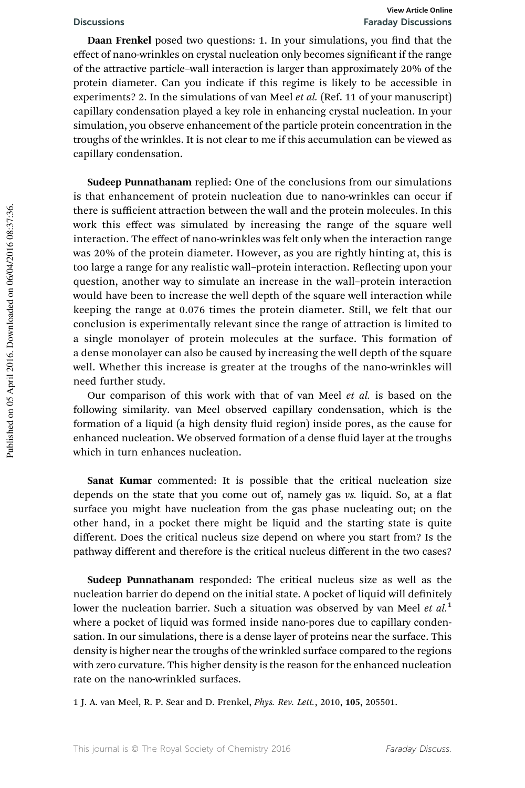Daan Frenkel posed two questions: 1. In your simulations, you find that the effect of nano-wrinkles on crystal nucleation only becomes significant if the range of the attractive particle–wall interaction is larger than approximately 20% of the protein diameter. Can you indicate if this regime is likely to be accessible in experiments? 2. In the simulations of van Meel *et al.* (Ref. 11 of your manuscript) capillary condensation played a key role in enhancing crystal nucleation. In your simulation, you observe enhancement of the particle protein concentration in the troughs of the wrinkles. It is not clear to me if this accumulation can be viewed as capillary condensation.

Sudeep Punnathanam replied: One of the conclusions from our simulations is that enhancement of protein nucleation due to nano-wrinkles can occur if there is sufficient attraction between the wall and the protein molecules. In this work this effect was simulated by increasing the range of the square well interaction. The effect of nano-wrinkles was felt only when the interaction range was 20% of the protein diameter. However, as you are rightly hinting at, this is too large a range for any realistic wall-protein interaction. Reflecting upon your question, another way to simulate an increase in the wall–protein interaction would have been to increase the well depth of the square well interaction while keeping the range at 0.076 times the protein diameter. Still, we felt that our conclusion is experimentally relevant since the range of attraction is limited to a single monolayer of protein molecules at the surface. This formation of a dense monolayer can also be caused by increasing the well depth of the square well. Whether this increase is greater at the troughs of the nano-wrinkles will need further study.

Our comparison of this work with that of van Meel et al. is based on the following similarity. van Meel observed capillary condensation, which is the formation of a liquid (a high density fluid region) inside pores, as the cause for enhanced nucleation. We observed formation of a dense fluid layer at the troughs which in turn enhances nucleation.

Sanat Kumar commented: It is possible that the critical nucleation size depends on the state that you come out of, namely gas vs. liquid. So, at a flat surface you might have nucleation from the gas phase nucleating out; on the other hand, in a pocket there might be liquid and the starting state is quite different. Does the critical nucleus size depend on where you start from? Is the pathway different and therefore is the critical nucleus different in the two cases?

Sudeep Punnathanam responded: The critical nucleus size as well as the nucleation barrier do depend on the initial state. A pocket of liquid will definitely lower the nucleation barrier. Such a situation was observed by van Meel et  $al$ .<sup>1</sup> where a pocket of liquid was formed inside nano-pores due to capillary condensation. In our simulations, there is a dense layer of proteins near the surface. This density is higher near the troughs of the wrinkled surface compared to the regions with zero curvature. This higher density is the reason for the enhanced nucleation rate on the nano-wrinkled surfaces.

1 J. A. van Meel, R. P. Sear and D. Frenkel, Phys. Rev. Lett., 2010, 105, 205501.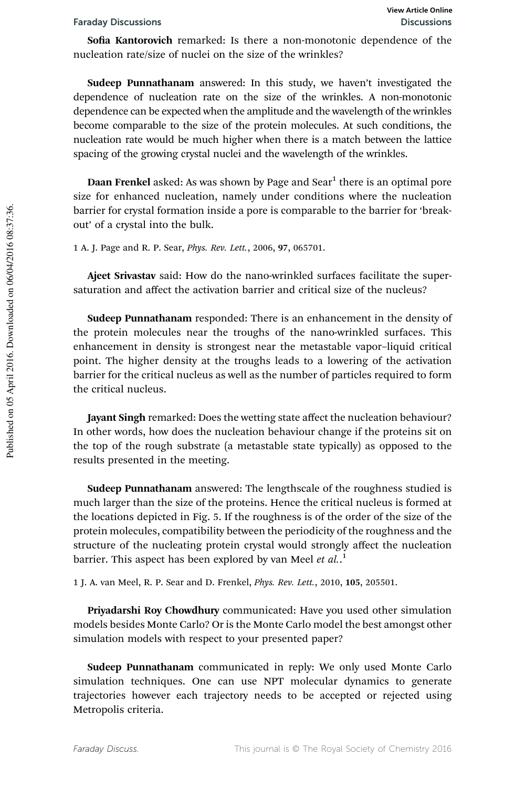### **Faraday Discussions Discussions Discussions**

Sofia Kantorovich remarked: Is there a non-monotonic dependence of the nucleation rate/size of nuclei on the size of the wrinkles?

Sudeep Punnathanam answered: In this study, we haven't investigated the dependence of nucleation rate on the size of the wrinkles. A non-monotonic dependence can be expected when the amplitude and the wavelength of the wrinkles become comparable to the size of the protein molecules. At such conditions, the nucleation rate would be much higher when there is a match between the lattice spacing of the growing crystal nuclei and the wavelength of the wrinkles.

**Daan Frenkel** asked: As was shown by Page and Sear $^1$  there is an optimal pore size for enhanced nucleation, namely under conditions where the nucleation barrier for crystal formation inside a pore is comparable to the barrier for 'breakout' of a crystal into the bulk.

1 A. J. Page and R. P. Sear, *Phys. Rev. Lett.*, 2006, 97, 065701.

Ajeet Srivastav said: How do the nano-wrinkled surfaces facilitate the supersaturation and affect the activation barrier and critical size of the nucleus?

Sudeep Punnathanam responded: There is an enhancement in the density of the protein molecules near the troughs of the nano-wrinkled surfaces. This enhancement in density is strongest near the metastable vapor–liquid critical point. The higher density at the troughs leads to a lowering of the activation barrier for the critical nucleus as well as the number of particles required to form the critical nucleus.

Jayant Singh remarked: Does the wetting state affect the nucleation behaviour? In other words, how does the nucleation behaviour change if the proteins sit on the top of the rough substrate (a metastable state typically) as opposed to the results presented in the meeting.

Sudeep Punnathanam answered: The lengthscale of the roughness studied is much larger than the size of the proteins. Hence the critical nucleus is formed at the locations depicted in Fig. 5. If the roughness is of the order of the size of the protein molecules, compatibility between the periodicity of the roughness and the structure of the nucleating protein crystal would strongly affect the nucleation barrier. This aspect has been explored by van Meel et al..<sup>1</sup>

1 J. A. van Meel, R. P. Sear and D. Frenkel, *Phys. Rev. Lett.*, 2010, 105, 205501.

Priyadarshi Roy Chowdhury communicated: Have you used other simulation models besides Monte Carlo? Or is the Monte Carlo model the best amongst other simulation models with respect to your presented paper?

Sudeep Punnathanam communicated in reply: We only used Monte Carlo simulation techniques. One can use NPT molecular dynamics to generate trajectories however each trajectory needs to be accepted or rejected using Metropolis criteria.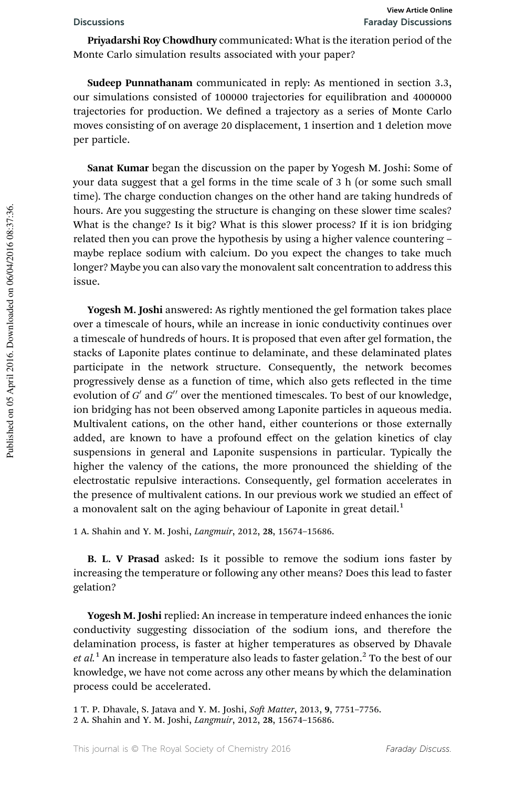Priyadarshi Roy Chowdhury communicated: What is the iteration period of the Monte Carlo simulation results associated with your paper?

Sudeep Punnathanam communicated in reply: As mentioned in section 3.3, our simulations consisted of 100000 trajectories for equilibration and 4000000 trajectories for production. We defined a trajectory as a series of Monte Carlo moves consisting of on average 20 displacement, 1 insertion and 1 deletion move per particle.

Sanat Kumar began the discussion on the paper by Yogesh M. Joshi: Some of your data suggest that a gel forms in the time scale of 3 h (or some such small time). The charge conduction changes on the other hand are taking hundreds of hours. Are you suggesting the structure is changing on these slower time scales? What is the change? Is it big? What is this slower process? If it is ion bridging related then you can prove the hypothesis by using a higher valence countering – maybe replace sodium with calcium. Do you expect the changes to take much longer? Maybe you can also vary the monovalent salt concentration to address this issue.

Yogesh M. Joshi answered: As rightly mentioned the gel formation takes place over a timescale of hours, while an increase in ionic conductivity continues over a timescale of hundreds of hours. It is proposed that even after gel formation, the stacks of Laponite plates continue to delaminate, and these delaminated plates participate in the network structure. Consequently, the network becomes progressively dense as a function of time, which also gets reflected in the time evolution of  $G'$  and  $G''$  over the mentioned timescales. To best of our knowledge, ion bridging has not been observed among Laponite particles in aqueous media. Multivalent cations, on the other hand, either counterions or those externally added, are known to have a profound effect on the gelation kinetics of clay suspensions in general and Laponite suspensions in particular. Typically the higher the valency of the cations, the more pronounced the shielding of the electrostatic repulsive interactions. Consequently, gel formation accelerates in the presence of multivalent cations. In our previous work we studied an effect of a monovalent salt on the aging behaviour of Laponite in great detail.<sup>1</sup>

1 A. Shahin and Y. M. Joshi, Langmuir, 2012, 28, 15674-15686.

B. L. V Prasad asked: Is it possible to remove the sodium ions faster by increasing the temperature or following any other means? Does this lead to faster gelation?

Yogesh M. Joshi replied: An increase in temperature indeed enhances the ionic conductivity suggesting dissociation of the sodium ions, and therefore the delamination process, is faster at higher temperatures as observed by Dhavale *et al.*<sup>1</sup> An increase in temperature also leads to faster gelation.<sup>2</sup> To the best of our knowledge, we have not come across any other means by which the delamination process could be accelerated.

<sup>1</sup> T. P. Dhavale, S. Jatava and Y. M. Joshi, Soft Matter, 2013, 9, 7751-7756.

<sup>2</sup> A. Shahin and Y. M. Joshi, Langmuir, 2012, 28, 15674–15686.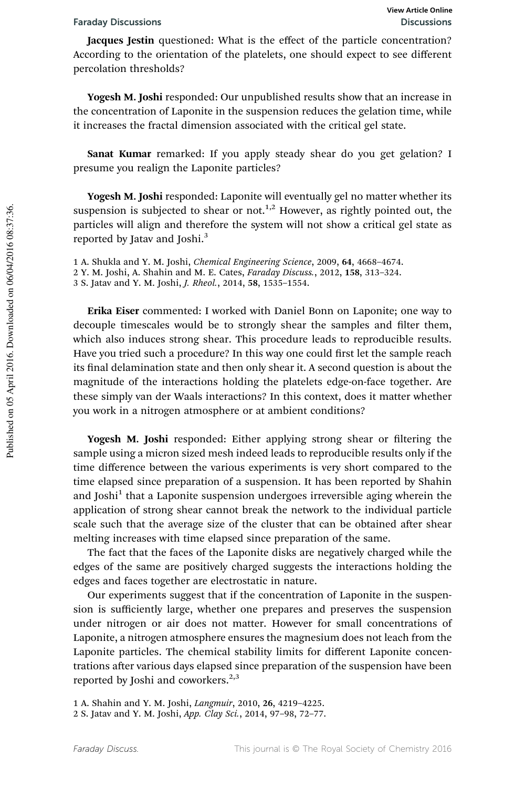Jacques Jestin questioned: What is the effect of the particle concentration? According to the orientation of the platelets, one should expect to see different percolation thresholds?

Yogesh M. Joshi responded: Our unpublished results show that an increase in the concentration of Laponite in the suspension reduces the gelation time, while it increases the fractal dimension associated with the critical gel state.

Sanat Kumar remarked: If you apply steady shear do you get gelation? I presume you realign the Laponite particles?

Yogesh M. Joshi responded: Laponite will eventually gel no matter whether its suspension is subjected to shear or not.<sup>1,2</sup> However, as rightly pointed out, the particles will align and therefore the system will not show a critical gel state as reported by Jatay and Joshi.<sup>3</sup>

1 A. Shukla and Y. M. Joshi, Chemical Engineering Science, 2009, 64, 4668-4674. 2 Y. M. Joshi, A. Shahin and M. E. Cates, Faraday Discuss., 2012, 158, 313-324. 3 S. Jatav and Y. M. Joshi, J. Rheol., 2014, 58, 1535–1554.

Erika Eiser commented: I worked with Daniel Bonn on Laponite; one way to decouple timescales would be to strongly shear the samples and filter them, which also induces strong shear. This procedure leads to reproducible results. Have you tried such a procedure? In this way one could first let the sample reach its final delamination state and then only shear it. A second question is about the magnitude of the interactions holding the platelets edge-on-face together. Are these simply van der Waals interactions? In this context, does it matter whether you work in a nitrogen atmosphere or at ambient conditions?

Yogesh M. Joshi responded: Either applying strong shear or filtering the sample using a micron sized mesh indeed leads to reproducible results only if the time difference between the various experiments is very short compared to the time elapsed since preparation of a suspension. It has been reported by Shahin and Joshi<sup>1</sup> that a Laponite suspension undergoes irreversible aging wherein the application of strong shear cannot break the network to the individual particle scale such that the average size of the cluster that can be obtained after shear melting increases with time elapsed since preparation of the same.

The fact that the faces of the Laponite disks are negatively charged while the edges of the same are positively charged suggests the interactions holding the edges and faces together are electrostatic in nature.

Our experiments suggest that if the concentration of Laponite in the suspension is sufficiently large, whether one prepares and preserves the suspension under nitrogen or air does not matter. However for small concentrations of Laponite, a nitrogen atmosphere ensures the magnesium does not leach from the Laponite particles. The chemical stability limits for different Laponite concentrations after various days elapsed since preparation of the suspension have been reported by Joshi and coworkers. $2,3$ 

1 A. Shahin and Y. M. Joshi, Langmuir, 2010, 26, 4219–4225.

2 S. Jatav and Y. M. Joshi, App. Clay Sci., 2014, 97-98, 72-77.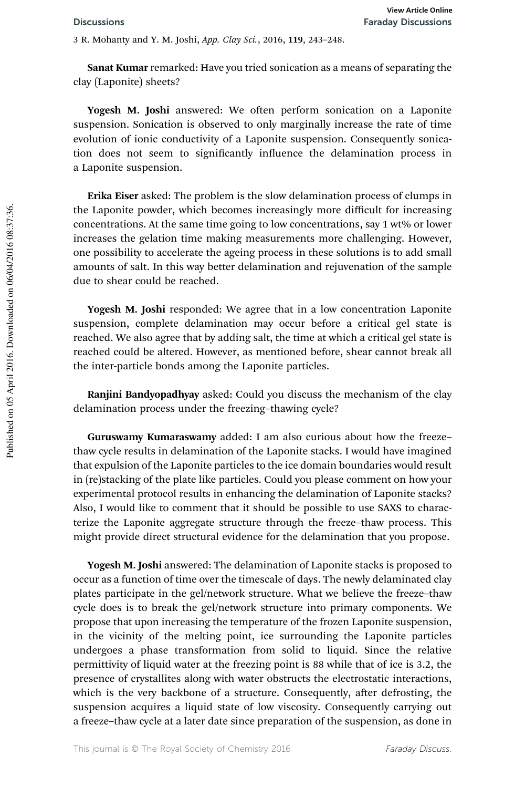3 R. Mohanty and Y. M. Joshi, App. Clay Sci., 2016, 119, 243–248.

Sanat Kumar remarked: Have you tried sonication as a means of separating the clay (Laponite) sheets?

Yogesh M. Joshi answered: We often perform sonication on a Laponite suspension. Sonication is observed to only marginally increase the rate of time evolution of ionic conductivity of a Laponite suspension. Consequently sonication does not seem to significantly influence the delamination process in a Laponite suspension.

Erika Eiser asked: The problem is the slow delamination process of clumps in the Laponite powder, which becomes increasingly more difficult for increasing concentrations. At the same time going to low concentrations, say 1 wt% or lower increases the gelation time making measurements more challenging. However, one possibility to accelerate the ageing process in these solutions is to add small amounts of salt. In this way better delamination and rejuvenation of the sample due to shear could be reached.

Yogesh M. Joshi responded: We agree that in a low concentration Laponite suspension, complete delamination may occur before a critical gel state is reached. We also agree that by adding salt, the time at which a critical gel state is reached could be altered. However, as mentioned before, shear cannot break all the inter-particle bonds among the Laponite particles.

Ranjini Bandyopadhyay asked: Could you discuss the mechanism of the clay delamination process under the freezing–thawing cycle?

Guruswamy Kumaraswamy added: I am also curious about how the freeze– thaw cycle results in delamination of the Laponite stacks. I would have imagined that expulsion of the Laponite particles to the ice domain boundaries would result in (re)stacking of the plate like particles. Could you please comment on how your experimental protocol results in enhancing the delamination of Laponite stacks? Also, I would like to comment that it should be possible to use SAXS to characterize the Laponite aggregate structure through the freeze–thaw process. This might provide direct structural evidence for the delamination that you propose.

Yogesh M. Joshi answered: The delamination of Laponite stacks is proposed to occur as a function of time over the timescale of days. The newly delaminated clay plates participate in the gel/network structure. What we believe the freeze–thaw cycle does is to break the gel/network structure into primary components. We propose that upon increasing the temperature of the frozen Laponite suspension, in the vicinity of the melting point, ice surrounding the Laponite particles undergoes a phase transformation from solid to liquid. Since the relative permittivity of liquid water at the freezing point is 88 while that of ice is 3.2, the presence of crystallites along with water obstructs the electrostatic interactions, which is the very backbone of a structure. Consequently, after defrosting, the suspension acquires a liquid state of low viscosity. Consequently carrying out a freeze–thaw cycle at a later date since preparation of the suspension, as done in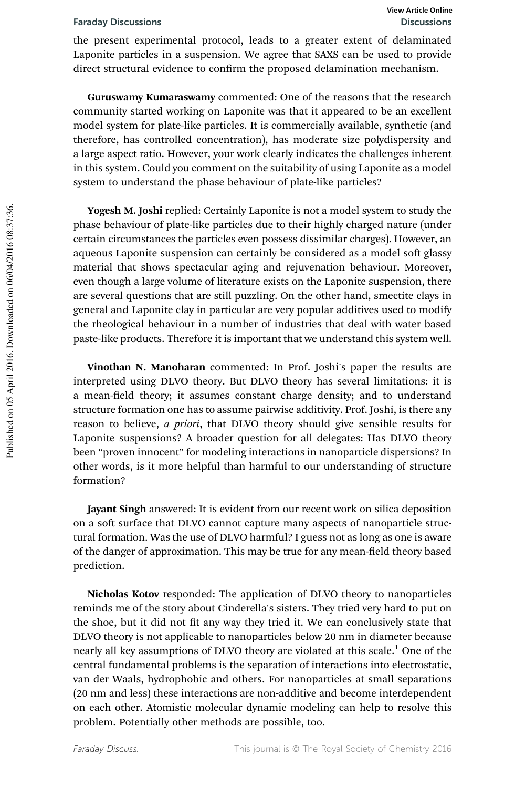### **Faraday Discussions Discussions Discussions**

the present experimental protocol, leads to a greater extent of delaminated Laponite particles in a suspension. We agree that SAXS can be used to provide direct structural evidence to confirm the proposed delamination mechanism.

Guruswamy Kumaraswamy commented: One of the reasons that the research community started working on Laponite was that it appeared to be an excellent model system for plate-like particles. It is commercially available, synthetic (and therefore, has controlled concentration), has moderate size polydispersity and a large aspect ratio. However, your work clearly indicates the challenges inherent in this system. Could you comment on the suitability of using Laponite as a model system to understand the phase behaviour of plate-like particles?

Yogesh M. Joshi replied: Certainly Laponite is not a model system to study the phase behaviour of plate-like particles due to their highly charged nature (under certain circumstances the particles even possess dissimilar charges). However, an aqueous Laponite suspension can certainly be considered as a model soft glassy material that shows spectacular aging and rejuvenation behaviour. Moreover, even though a large volume of literature exists on the Laponite suspension, there are several questions that are still puzzling. On the other hand, smectite clays in general and Laponite clay in particular are very popular additives used to modify the rheological behaviour in a number of industries that deal with water based paste-like products. Therefore it is important that we understand this system well.

Vinothan N. Manoharan commented: In Prof. Joshi's paper the results are interpreted using DLVO theory. But DLVO theory has several limitations: it is a mean-field theory; it assumes constant charge density; and to understand structure formation one has to assume pairwise additivity. Prof. Joshi, is there any reason to believe, a priori, that DLVO theory should give sensible results for Laponite suspensions? A broader question for all delegates: Has DLVO theory been "proven innocent" for modeling interactions in nanoparticle dispersions? In other words, is it more helpful than harmful to our understanding of structure formation?

Jayant Singh answered: It is evident from our recent work on silica deposition on a soft surface that DLVO cannot capture many aspects of nanoparticle structural formation. Was the use of DLVO harmful? I guess not as long as one is aware of the danger of approximation. This may be true for any mean-field theory based prediction.

Nicholas Kotov responded: The application of DLVO theory to nanoparticles reminds me of the story about Cinderella's sisters. They tried very hard to put on the shoe, but it did not fit any way they tried it. We can conclusively state that DLVO theory is not applicable to nanoparticles below 20 nm in diameter because nearly all key assumptions of DLVO theory are violated at this scale.<sup>1</sup> One of the central fundamental problems is the separation of interactions into electrostatic, van der Waals, hydrophobic and others. For nanoparticles at small separations (20 nm and less) these interactions are non-additive and become interdependent on each other. Atomistic molecular dynamic modeling can help to resolve this problem. Potentially other methods are possible, too.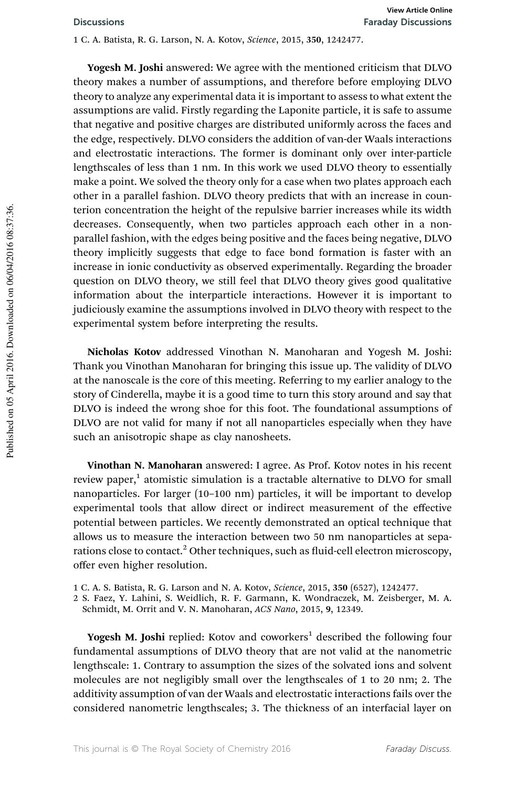1 C. A. Batista, R. G. Larson, N. A. Kotov, Science, 2015, 350, 1242477.

Yogesh M. Joshi answered: We agree with the mentioned criticism that DLVO theory makes a number of assumptions, and therefore before employing DLVO theory to analyze any experimental data it is important to assess to what extent the assumptions are valid. Firstly regarding the Laponite particle, it is safe to assume that negative and positive charges are distributed uniformly across the faces and the edge, respectively. DLVO considers the addition of van-der Waals interactions and electrostatic interactions. The former is dominant only over inter-particle lengthscales of less than 1 nm. In this work we used DLVO theory to essentially make a point. We solved the theory only for a case when two plates approach each other in a parallel fashion. DLVO theory predicts that with an increase in counterion concentration the height of the repulsive barrier increases while its width decreases. Consequently, when two particles approach each other in a nonparallel fashion, with the edges being positive and the faces being negative, DLVO theory implicitly suggests that edge to face bond formation is faster with an increase in ionic conductivity as observed experimentally. Regarding the broader question on DLVO theory, we still feel that DLVO theory gives good qualitative information about the interparticle interactions. However it is important to judiciously examine the assumptions involved in DLVO theory with respect to the experimental system before interpreting the results.

Nicholas Kotov addressed Vinothan N. Manoharan and Yogesh M. Joshi: Thank you Vinothan Manoharan for bringing this issue up. The validity of DLVO at the nanoscale is the core of this meeting. Referring to my earlier analogy to the story of Cinderella, maybe it is a good time to turn this story around and say that DLVO is indeed the wrong shoe for this foot. The foundational assumptions of DLVO are not valid for many if not all nanoparticles especially when they have such an anisotropic shape as clay nanosheets.

Vinothan N. Manoharan answered: I agree. As Prof. Kotov notes in his recent review paper,<sup>1</sup> atomistic simulation is a tractable alternative to DLVO for small nanoparticles. For larger (10–100 nm) particles, it will be important to develop experimental tools that allow direct or indirect measurement of the effective potential between particles. We recently demonstrated an optical technique that allows us to measure the interaction between two 50 nm nanoparticles at separations close to contact. $^2$  Other techniques, such as fluid-cell electron microscopy, offer even higher resolution.

2 S. Faez, Y. Lahini, S. Weidlich, R. F. Garmann, K. Wondraczek, M. Zeisberger, M. A. Schmidt, M. Orrit and V. N. Manoharan, ACS Nano, 2015, 9, 12349.

Yogesh M. Joshi replied: Kotov and coworkers<sup>1</sup> described the following four fundamental assumptions of DLVO theory that are not valid at the nanometric lengthscale: 1. Contrary to assumption the sizes of the solvated ions and solvent molecules are not negligibly small over the lengthscales of 1 to 20 nm; 2. The additivity assumption of van der Waals and electrostatic interactions fails over the considered nanometric lengthscales; 3. The thickness of an interfacial layer on

<sup>1</sup> C. A. S. Batista, R. G. Larson and N. A. Kotov, Science, 2015, 350 (6527), 1242477.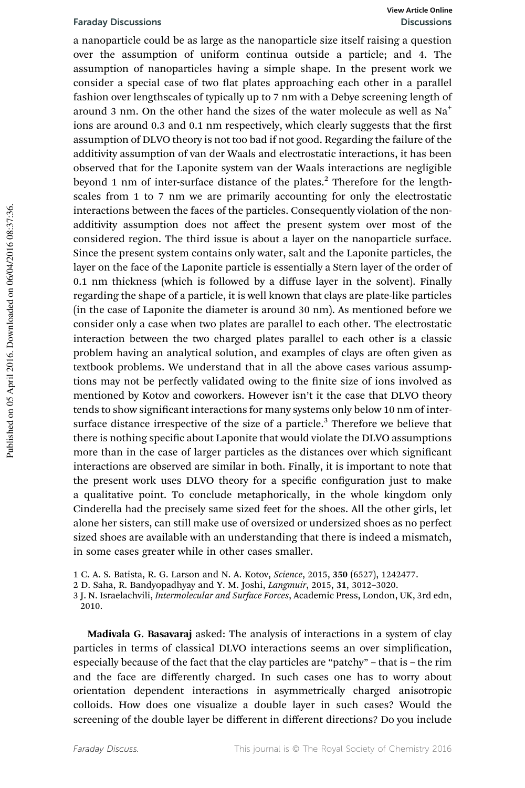a nanoparticle could be as large as the nanoparticle size itself raising a question over the assumption of uniform continua outside a particle; and 4. The assumption of nanoparticles having a simple shape. In the present work we consider a special case of two flat plates approaching each other in a parallel fashion over lengthscales of typically up to 7 nm with a Debye screening length of around 3 nm. On the other hand the sizes of the water molecule as well as  $Na<sup>+</sup>$ ions are around 0.3 and 0.1 nm respectively, which clearly suggests that the first assumption of DLVO theory is not too bad if not good. Regarding the failure of the additivity assumption of van der Waals and electrostatic interactions, it has been observed that for the Laponite system van der Waals interactions are negligible beyond 1 nm of inter-surface distance of the plates.<sup>2</sup> Therefore for the lengthscales from 1 to 7 nm we are primarily accounting for only the electrostatic interactions between the faces of the particles. Consequently violation of the nonadditivity assumption does not affect the present system over most of the considered region. The third issue is about a layer on the nanoparticle surface. Since the present system contains only water, salt and the Laponite particles, the layer on the face of the Laponite particle is essentially a Stern layer of the order of 0.1 nm thickness (which is followed by a diffuse layer in the solvent). Finally regarding the shape of a particle, it is well known that clays are plate-like particles (in the case of Laponite the diameter is around 30 nm). As mentioned before we consider only a case when two plates are parallel to each other. The electrostatic interaction between the two charged plates parallel to each other is a classic problem having an analytical solution, and examples of clays are often given as textbook problems. We understand that in all the above cases various assumptions may not be perfectly validated owing to the finite size of ions involved as mentioned by Kotov and coworkers. However isn't it the case that DLVO theory tends to show significant interactions for many systems only below 10 nm of intersurface distance irrespective of the size of a particle.<sup>3</sup> Therefore we believe that there is nothing specific about Laponite that would violate the DLVO assumptions more than in the case of larger particles as the distances over which significant interactions are observed are similar in both. Finally, it is important to note that the present work uses DLVO theory for a specific configuration just to make a qualitative point. To conclude metaphorically, in the whole kingdom only Cinderella had the precisely same sized feet for the shoes. All the other girls, let alone her sisters, can still make use of oversized or undersized shoes as no perfect sized shoes are available with an understanding that there is indeed a mismatch, in some cases greater while in other cases smaller.

- 1 C. A. S. Batista, R. G. Larson and N. A. Kotov, Science, 2015, 350 (6527), 1242477.
- 2 D. Saha, R. Bandyopadhyay and Y. M. Joshi, Langmuir, 2015, 31, 3012–3020.
- 3 J. N. Israelachvili, Intermolecular and Surface Forces, Academic Press, London, UK, 3rd edn, 2010.

Madivala G. Basavaraj asked: The analysis of interactions in a system of clay particles in terms of classical DLVO interactions seems an over simplication, especially because of the fact that the clay particles are "patchy" – that is – the rim and the face are differently charged. In such cases one has to worry about orientation dependent interactions in asymmetrically charged anisotropic colloids. How does one visualize a double layer in such cases? Would the screening of the double layer be different in different directions? Do you include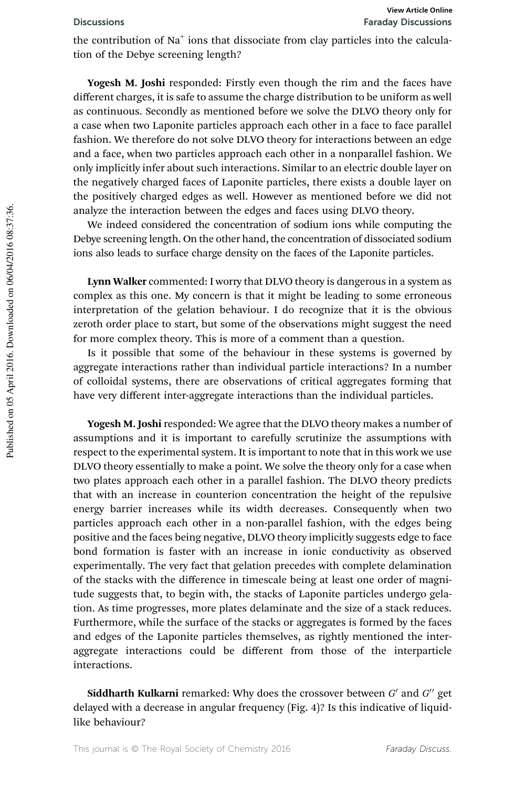the contribution of Na<sup>+</sup> ions that dissociate from clay particles into the calculation of the Debye screening length?

Yogesh M. Joshi responded: Firstly even though the rim and the faces have different charges, it is safe to assume the charge distribution to be uniform as well as continuous. Secondly as mentioned before we solve the DLVO theory only for a case when two Laponite particles approach each other in a face to face parallel fashion. We therefore do not solve DLVO theory for interactions between an edge and a face, when two particles approach each other in a nonparallel fashion. We only implicitly infer about such interactions. Similar to an electric double layer on the negatively charged faces of Laponite particles, there exists a double layer on the positively charged edges as well. However as mentioned before we did not analyze the interaction between the edges and faces using DLVO theory.

We indeed considered the concentration of sodium ions while computing the Debye screening length. On the other hand, the concentration of dissociated sodium ions also leads to surface charge density on the faces of the Laponite particles.

Lynn Walker commented: I worry that DLVO theory is dangerous in a system as complex as this one. My concern is that it might be leading to some erroneous interpretation of the gelation behaviour. I do recognize that it is the obvious zeroth order place to start, but some of the observations might suggest the need for more complex theory. This is more of a comment than a question.

Is it possible that some of the behaviour in these systems is governed by aggregate interactions rather than individual particle interactions? In a number of colloidal systems, there are observations of critical aggregates forming that have very different inter-aggregate interactions than the individual particles.

Yogesh M. Joshi responded: We agree that the DLVO theory makes a number of assumptions and it is important to carefully scrutinize the assumptions with respect to the experimental system. It is important to note that in this work we use DLVO theory essentially to make a point. We solve the theory only for a case when two plates approach each other in a parallel fashion. The DLVO theory predicts that with an increase in counterion concentration the height of the repulsive energy barrier increases while its width decreases. Consequently when two particles approach each other in a non-parallel fashion, with the edges being positive and the faces being negative, DLVO theory implicitly suggests edge to face bond formation is faster with an increase in ionic conductivity as observed experimentally. The very fact that gelation precedes with complete delamination of the stacks with the difference in timescale being at least one order of magnitude suggests that, to begin with, the stacks of Laponite particles undergo gelation. As time progresses, more plates delaminate and the size of a stack reduces. Furthermore, while the surface of the stacks or aggregates is formed by the faces and edges of the Laponite particles themselves, as rightly mentioned the interaggregate interactions could be different from those of the interparticle interactions.

Siddharth Kulkarni remarked: Why does the crossover between  $G'$  and  $G''$  get delayed with a decrease in angular frequency (Fig. 4)? Is this indicative of liquidlike behaviour?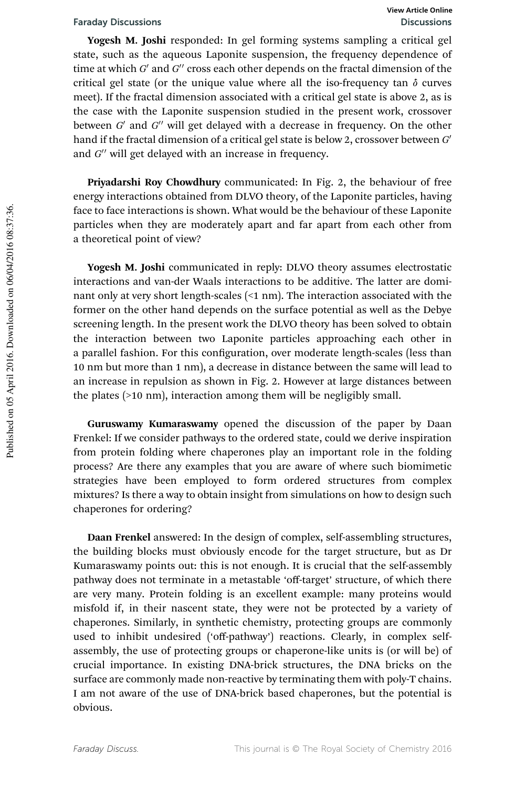### **Faraday Discussions Discussions Discussions**

Yogesh M. Joshi responded: In gel forming systems sampling a critical gel state, such as the aqueous Laponite suspension, the frequency dependence of time at which  $G'$  and  $G''$  cross each other depends on the fractal dimension of the critical gel state (or the unique value where all the iso-frequency tan  $\delta$  curves meet). If the fractal dimension associated with a critical gel state is above 2, as is the case with the Laponite suspension studied in the present work, crossover between  $G'$  and  $G''$  will get delayed with a decrease in frequency. On the other hand if the fractal dimension of a critical gel state is below 2, crossover between  $G'$ and G" will get delayed with an increase in frequency.

Priyadarshi Roy Chowdhury communicated: In Fig. 2, the behaviour of free energy interactions obtained from DLVO theory, of the Laponite particles, having face to face interactions is shown. What would be the behaviour of these Laponite particles when they are moderately apart and far apart from each other from a theoretical point of view?

Yogesh M. Joshi communicated in reply: DLVO theory assumes electrostatic interactions and van-der Waals interactions to be additive. The latter are dominant only at very short length-scales (<1 nm). The interaction associated with the former on the other hand depends on the surface potential as well as the Debye screening length. In the present work the DLVO theory has been solved to obtain the interaction between two Laponite particles approaching each other in a parallel fashion. For this configuration, over moderate length-scales (less than 10 nm but more than 1 nm), a decrease in distance between the same will lead to an increase in repulsion as shown in Fig. 2. However at large distances between the plates (>10 nm), interaction among them will be negligibly small.

Guruswamy Kumaraswamy opened the discussion of the paper by Daan Frenkel: If we consider pathways to the ordered state, could we derive inspiration from protein folding where chaperones play an important role in the folding process? Are there any examples that you are aware of where such biomimetic strategies have been employed to form ordered structures from complex mixtures? Is there a way to obtain insight from simulations on how to design such chaperones for ordering?

Daan Frenkel answered: In the design of complex, self-assembling structures, the building blocks must obviously encode for the target structure, but as Dr Kumaraswamy points out: this is not enough. It is crucial that the self-assembly pathway does not terminate in a metastable 'off-target' structure, of which there are very many. Protein folding is an excellent example: many proteins would misfold if, in their nascent state, they were not be protected by a variety of chaperones. Similarly, in synthetic chemistry, protecting groups are commonly used to inhibit undesired ('off-pathway') reactions. Clearly, in complex selfassembly, the use of protecting groups or chaperone-like units is (or will be) of crucial importance. In existing DNA-brick structures, the DNA bricks on the surface are commonly made non-reactive by terminating them with poly-T chains. I am not aware of the use of DNA-brick based chaperones, but the potential is obvious.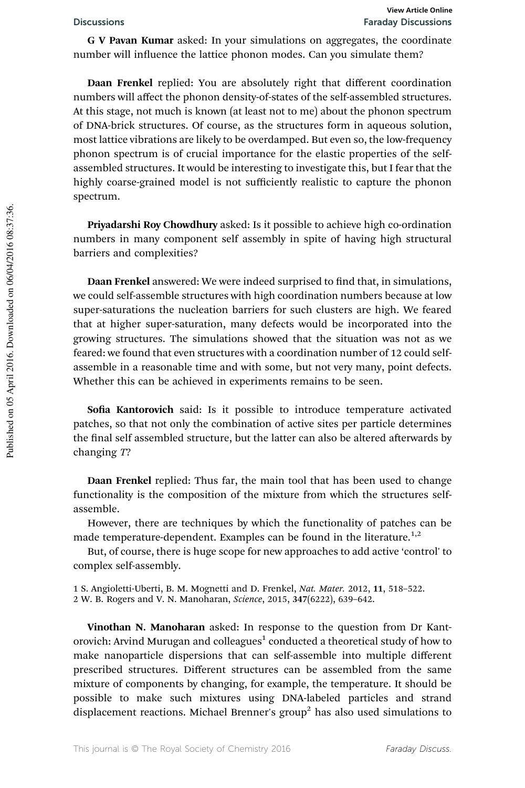G V Pavan Kumar asked: In your simulations on aggregates, the coordinate number will influence the lattice phonon modes. Can you simulate them?

Daan Frenkel replied: You are absolutely right that different coordination numbers will affect the phonon density-of-states of the self-assembled structures. At this stage, not much is known (at least not to me) about the phonon spectrum of DNA-brick structures. Of course, as the structures form in aqueous solution, most lattice vibrations are likely to be overdamped. But even so, the low-frequency phonon spectrum is of crucial importance for the elastic properties of the selfassembled structures. It would be interesting to investigate this, but I fear that the highly coarse-grained model is not sufficiently realistic to capture the phonon spectrum.

Priyadarshi Roy Chowdhury asked: Is it possible to achieve high co-ordination numbers in many component self assembly in spite of having high structural barriers and complexities?

Daan Frenkel answered: We were indeed surprised to find that, in simulations, we could self-assemble structures with high coordination numbers because at low super-saturations the nucleation barriers for such clusters are high. We feared that at higher super-saturation, many defects would be incorporated into the growing structures. The simulations showed that the situation was not as we feared: we found that even structures with a coordination number of 12 could selfassemble in a reasonable time and with some, but not very many, point defects. Whether this can be achieved in experiments remains to be seen.

Sofia Kantorovich said: Is it possible to introduce temperature activated patches, so that not only the combination of active sites per particle determines the final self assembled structure, but the latter can also be altered afterwards by changing T?

Daan Frenkel replied: Thus far, the main tool that has been used to change functionality is the composition of the mixture from which the structures selfassemble.

However, there are techniques by which the functionality of patches can be made temperature-dependent. Examples can be found in the literature.<sup>1,2</sup>

But, of course, there is huge scope for new approaches to add active 'control' to complex self-assembly.

1 S. Angioletti-Uberti, B. M. Mognetti and D. Frenkel, Nat. Mater. 2012, 11, 518–522. 2 W. B. Rogers and V. N. Manoharan, Science, 2015, 347(6222), 639–642.

Vinothan N. Manoharan asked: In response to the question from Dr Kantorovich: Arvind Murugan and colleagues $^1$  conducted a theoretical study of how to make nanoparticle dispersions that can self-assemble into multiple different prescribed structures. Different structures can be assembled from the same mixture of components by changing, for example, the temperature. It should be possible to make such mixtures using DNA-labeled particles and strand displacement reactions. Michael Brenner's group $^2$  has also used simulations to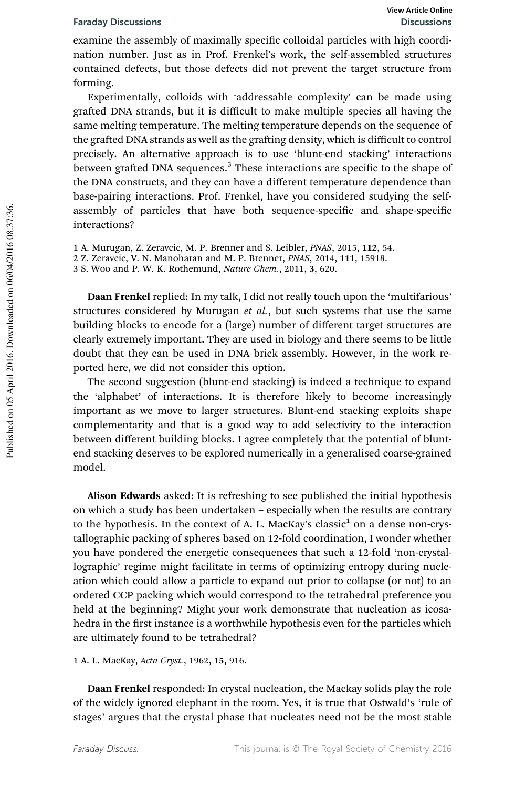examine the assembly of maximally specific colloidal particles with high coordination number. Just as in Prof. Frenkel's work, the self-assembled structures contained defects, but those defects did not prevent the target structure from forming.

Experimentally, colloids with 'addressable complexity' can be made using grafted DNA strands, but it is difficult to make multiple species all having the same melting temperature. The melting temperature depends on the sequence of the grafted DNA strands as well as the grafting density, which is difficult to control precisely. An alternative approach is to use 'blunt-end stacking' interactions between grafted DNA sequences.<sup>3</sup> These interactions are specific to the shape of the DNA constructs, and they can have a different temperature dependence than base-pairing interactions. Prof. Frenkel, have you considered studying the selfassembly of particles that have both sequence-specific and shape-specific interactions?

1 A. Murugan, Z. Zeravcic, M. P. Brenner and S. Leibler, PNAS, 2015, 112, 54.

2 Z. Zeravcic, V. N. Manoharan and M. P. Brenner, PNAS, 2014, 111, 15918.

3 S. Woo and P. W. K. Rothemund, Nature Chem., 2011, 3, 620.

Daan Frenkel replied: In my talk, I did not really touch upon the 'multifarious' structures considered by Murugan et al., but such systems that use the same building blocks to encode for a (large) number of different target structures are clearly extremely important. They are used in biology and there seems to be little doubt that they can be used in DNA brick assembly. However, in the work reported here, we did not consider this option.

The second suggestion (blunt-end stacking) is indeed a technique to expand the 'alphabet' of interactions. It is therefore likely to become increasingly important as we move to larger structures. Blunt-end stacking exploits shape complementarity and that is a good way to add selectivity to the interaction between different building blocks. I agree completely that the potential of bluntend stacking deserves to be explored numerically in a generalised coarse-grained model.

Alison Edwards asked: It is refreshing to see published the initial hypothesis on which a study has been undertaken – especially when the results are contrary to the hypothesis. In the context of A. L. MacKay's classic<sup>1</sup> on a dense non-crystallographic packing of spheres based on 12-fold coordination, I wonder whether you have pondered the energetic consequences that such a 12-fold 'non-crystallographic' regime might facilitate in terms of optimizing entropy during nucleation which could allow a particle to expand out prior to collapse (or not) to an ordered CCP packing which would correspond to the tetrahedral preference you held at the beginning? Might your work demonstrate that nucleation as icosahedra in the first instance is a worthwhile hypothesis even for the particles which are ultimately found to be tetrahedral?

1 A. L. MacKay, Acta Cryst., 1962, 15, 916.

Daan Frenkel responded: In crystal nucleation, the Mackay solids play the role of the widely ignored elephant in the room. Yes, it is true that Ostwald's 'rule of stages' argues that the crystal phase that nucleates need not be the most stable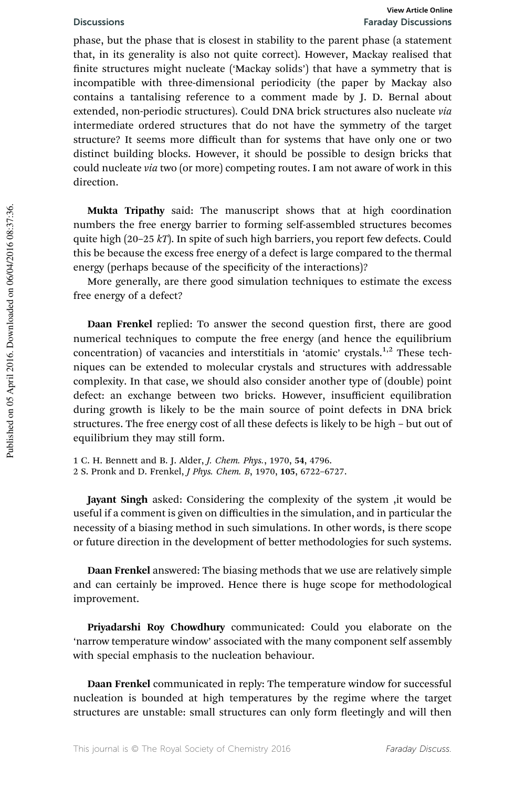phase, but the phase that is closest in stability to the parent phase (a statement that, in its generality is also not quite correct). However, Mackay realised that finite structures might nucleate ('Mackay solids') that have a symmetry that is incompatible with three-dimensional periodicity (the paper by Mackay also contains a tantalising reference to a comment made by J. D. Bernal about extended, non-periodic structures). Could DNA brick structures also nucleate via intermediate ordered structures that do not have the symmetry of the target structure? It seems more difficult than for systems that have only one or two distinct building blocks. However, it should be possible to design bricks that could nucleate via two (or more) competing routes. I am not aware of work in this direction.

Mukta Tripathy said: The manuscript shows that at high coordination numbers the free energy barrier to forming self-assembled structures becomes quite high (20–25  $kT$ ). In spite of such high barriers, you report few defects. Could this be because the excess free energy of a defect is large compared to the thermal energy (perhaps because of the specificity of the interactions)?

More generally, are there good simulation techniques to estimate the excess free energy of a defect?

Daan Frenkel replied: To answer the second question first, there are good numerical techniques to compute the free energy (and hence the equilibrium concentration) of vacancies and interstitials in 'atomic' crystals.<sup>1,2</sup> These techniques can be extended to molecular crystals and structures with addressable complexity. In that case, we should also consider another type of (double) point defect: an exchange between two bricks. However, insufficient equilibration during growth is likely to be the main source of point defects in DNA brick structures. The free energy cost of all these defects is likely to be high – but out of equilibrium they may still form.

1 C. H. Bennett and B. J. Alder, J. Chem. Phys., 1970, 54, 4796. 2 S. Pronk and D. Frenkel, J Phys. Chem. B, 1970, 105, 6722–6727.

Jayant Singh asked: Considering the complexity of the system ,it would be useful if a comment is given on difficulties in the simulation, and in particular the necessity of a biasing method in such simulations. In other words, is there scope or future direction in the development of better methodologies for such systems.

Daan Frenkel answered: The biasing methods that we use are relatively simple and can certainly be improved. Hence there is huge scope for methodological improvement.

Priyadarshi Roy Chowdhury communicated: Could you elaborate on the 'narrow temperature window' associated with the many component self assembly with special emphasis to the nucleation behaviour.

Daan Frenkel communicated in reply: The temperature window for successful nucleation is bounded at high temperatures by the regime where the target structures are unstable: small structures can only form fleetingly and will then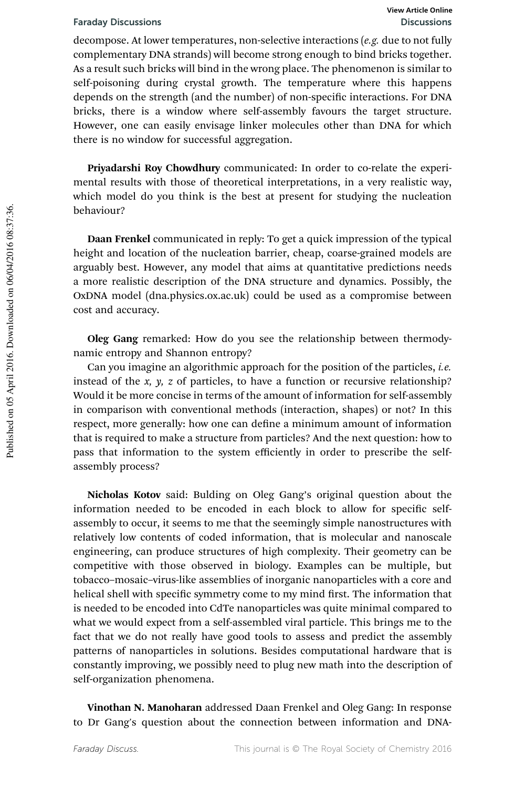**View Article Online**

### **Faraday Discussions Discussions Discussions**

decompose. At lower temperatures, non-selective interactions (e.g. due to not fully complementary DNA strands) will become strong enough to bind bricks together. As a result such bricks will bind in the wrong place. The phenomenon is similar to self-poisoning during crystal growth. The temperature where this happens depends on the strength (and the number) of non-specific interactions. For DNA bricks, there is a window where self-assembly favours the target structure. However, one can easily envisage linker molecules other than DNA for which there is no window for successful aggregation.

Priyadarshi Roy Chowdhury communicated: In order to co-relate the experimental results with those of theoretical interpretations, in a very realistic way, which model do you think is the best at present for studying the nucleation behaviour?

Daan Frenkel communicated in reply: To get a quick impression of the typical height and location of the nucleation barrier, cheap, coarse-grained models are arguably best. However, any model that aims at quantitative predictions needs a more realistic description of the DNA structure and dynamics. Possibly, the OxDNA model (dna.physics.ox.ac.uk) could be used as a compromise between cost and accuracy.

Oleg Gang remarked: How do you see the relationship between thermodynamic entropy and Shannon entropy?

Can you imagine an algorithmic approach for the position of the particles, i.e. instead of the  $x$ ,  $y$ ,  $z$  of particles, to have a function or recursive relationship? Would it be more concise in terms of the amount of information for self-assembly in comparison with conventional methods (interaction, shapes) or not? In this respect, more generally: how one can define a minimum amount of information that is required to make a structure from particles? And the next question: how to pass that information to the system efficiently in order to prescribe the selfassembly process?

Nicholas Kotov said: Bulding on Oleg Gang's original question about the information needed to be encoded in each block to allow for specific selfassembly to occur, it seems to me that the seemingly simple nanostructures with relatively low contents of coded information, that is molecular and nanoscale engineering, can produce structures of high complexity. Their geometry can be competitive with those observed in biology. Examples can be multiple, but tobacco–mosaic–virus-like assemblies of inorganic nanoparticles with a core and helical shell with specific symmetry come to my mind first. The information that is needed to be encoded into CdTe nanoparticles was quite minimal compared to what we would expect from a self-assembled viral particle. This brings me to the fact that we do not really have good tools to assess and predict the assembly patterns of nanoparticles in solutions. Besides computational hardware that is constantly improving, we possibly need to plug new math into the description of self-organization phenomena.

Vinothan N. Manoharan addressed Daan Frenkel and Oleg Gang: In response to Dr Gang's question about the connection between information and DNA-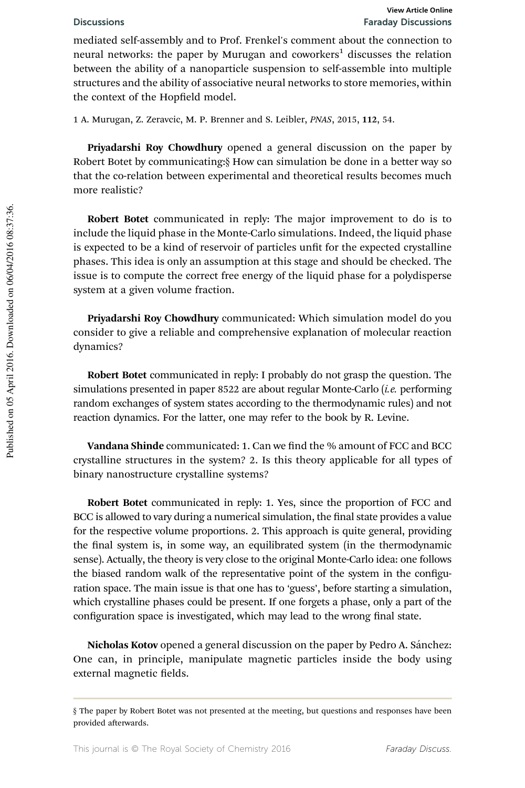mediated self-assembly and to Prof. Frenkel's comment about the connection to neural networks: the paper by Murugan and coworkers $^{\rm 1}$  discusses the relation between the ability of a nanoparticle suspension to self-assemble into multiple structures and the ability of associative neural networks to store memories, within the context of the Hopfield model.

1 A. Murugan, Z. Zeravcic, M. P. Brenner and S. Leibler, PNAS, 2015, 112, 54.

Priyadarshi Roy Chowdhury opened a general discussion on the paper by Robert Botet by communicating:§ How can simulation be done in a better way so that the co-relation between experimental and theoretical results becomes much more realistic?

Robert Botet communicated in reply: The major improvement to do is to include the liquid phase in the Monte-Carlo simulations. Indeed, the liquid phase is expected to be a kind of reservoir of particles unfit for the expected crystalline phases. This idea is only an assumption at this stage and should be checked. The issue is to compute the correct free energy of the liquid phase for a polydisperse system at a given volume fraction.

Priyadarshi Roy Chowdhury communicated: Which simulation model do you consider to give a reliable and comprehensive explanation of molecular reaction dynamics?

Robert Botet communicated in reply: I probably do not grasp the question. The simulations presented in paper 8522 are about regular Monte-Carlo (i.e. performing random exchanges of system states according to the thermodynamic rules) and not reaction dynamics. For the latter, one may refer to the book by R. Levine.

Vandana Shinde communicated: 1. Can we find the % amount of FCC and BCC crystalline structures in the system? 2. Is this theory applicable for all types of binary nanostructure crystalline systems?

Robert Botet communicated in reply: 1. Yes, since the proportion of FCC and BCC is allowed to vary during a numerical simulation, the final state provides a value for the respective volume proportions. 2. This approach is quite general, providing the final system is, in some way, an equilibrated system (in the thermodynamic sense). Actually, the theory is very close to the original Monte-Carlo idea: one follows the biased random walk of the representative point of the system in the configuration space. The main issue is that one has to 'guess', before starting a simulation, which crystalline phases could be present. If one forgets a phase, only a part of the configuration space is investigated, which may lead to the wrong final state.

Nicholas Kotov opened a general discussion on the paper by Pedro A. Sánchez: One can, in principle, manipulate magnetic particles inside the body using external magnetic fields.

<sup>§</sup> The paper by Robert Botet was not presented at the meeting, but questions and responses have been provided afterwards.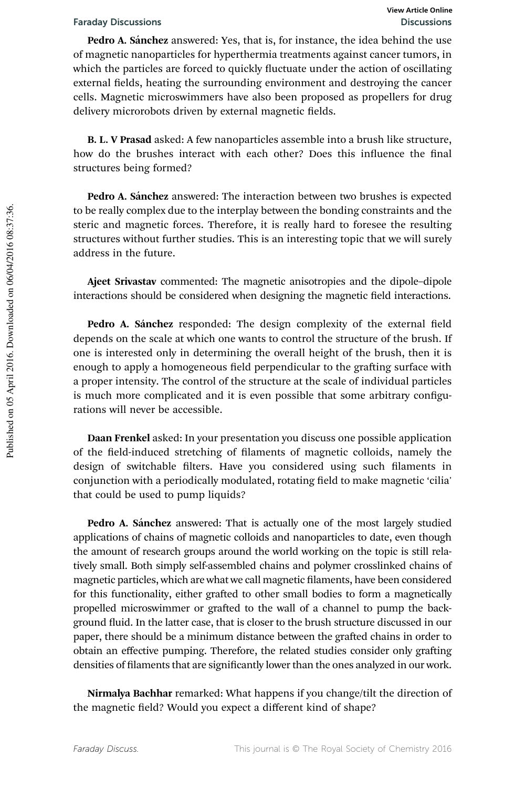### **Faraday Discussions Discussions Discussions**

Pedro A. Sánchez answered: Yes, that is, for instance, the idea behind the use of magnetic nanoparticles for hyperthermia treatments against cancer tumors, in which the particles are forced to quickly fluctuate under the action of oscillating external fields, heating the surrounding environment and destroying the cancer cells. Magnetic microswimmers have also been proposed as propellers for drug delivery microrobots driven by external magnetic fields.

B. L. V Prasad asked: A few nanoparticles assemble into a brush like structure, how do the brushes interact with each other? Does this influence the final structures being formed?

Pedro A. Sánchez answered: The interaction between two brushes is expected to be really complex due to the interplay between the bonding constraints and the steric and magnetic forces. Therefore, it is really hard to foresee the resulting structures without further studies. This is an interesting topic that we will surely address in the future.

Ajeet Srivastav commented: The magnetic anisotropies and the dipole–dipole interactions should be considered when designing the magnetic field interactions.

Pedro A. Sánchez responded: The design complexity of the external field depends on the scale at which one wants to control the structure of the brush. If one is interested only in determining the overall height of the brush, then it is enough to apply a homogeneous field perpendicular to the grafting surface with a proper intensity. The control of the structure at the scale of individual particles is much more complicated and it is even possible that some arbitrary configurations will never be accessible.

Daan Frenkel asked: In your presentation you discuss one possible application of the field-induced stretching of filaments of magnetic colloids, namely the design of switchable filters. Have you considered using such filaments in conjunction with a periodically modulated, rotating field to make magnetic 'cilia' that could be used to pump liquids?

Pedro A. Sánchez answered: That is actually one of the most largely studied applications of chains of magnetic colloids and nanoparticles to date, even though the amount of research groups around the world working on the topic is still relatively small. Both simply self-assembled chains and polymer crosslinked chains of magnetic particles, which are what we call magnetic filaments, have been considered for this functionality, either grafted to other small bodies to form a magnetically propelled microswimmer or grafted to the wall of a channel to pump the background fluid. In the latter case, that is closer to the brush structure discussed in our paper, there should be a minimum distance between the grafted chains in order to obtain an effective pumping. Therefore, the related studies consider only grafting densities of filaments that are significantly lower than the ones analyzed in our work.

Nirmalya Bachhar remarked: What happens if you change/tilt the direction of the magnetic field? Would you expect a different kind of shape?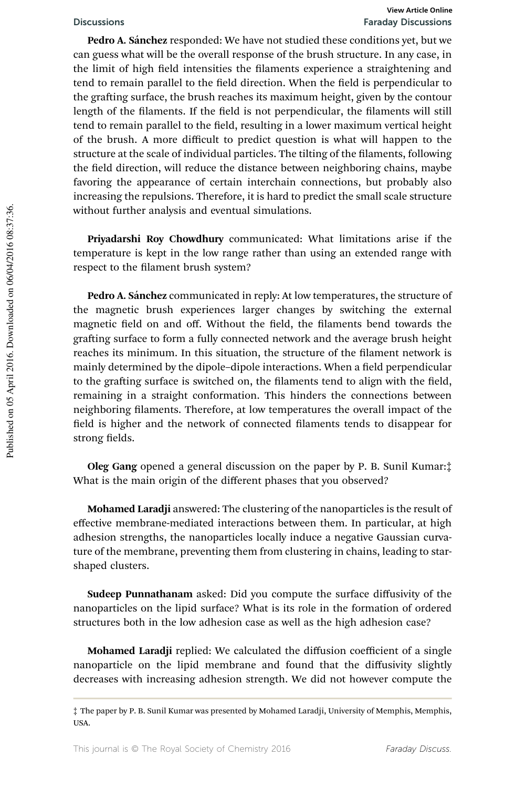### Discussions Faraday Discussions **View Article Online**

Pedro A. Sánchez responded: We have not studied these conditions yet, but we can guess what will be the overall response of the brush structure. In any case, in the limit of high field intensities the filaments experience a straightening and tend to remain parallel to the field direction. When the field is perpendicular to the grafting surface, the brush reaches its maximum height, given by the contour length of the filaments. If the field is not perpendicular, the filaments will still tend to remain parallel to the field, resulting in a lower maximum vertical height of the brush. A more difficult to predict question is what will happen to the structure at the scale of individual particles. The tilting of the filaments, following the field direction, will reduce the distance between neighboring chains, maybe favoring the appearance of certain interchain connections, but probably also increasing the repulsions. Therefore, it is hard to predict the small scale structure without further analysis and eventual simulations.

Priyadarshi Roy Chowdhury communicated: What limitations arise if the temperature is kept in the low range rather than using an extended range with respect to the filament brush system?

Pedro A. Sánchez communicated in reply: At low temperatures, the structure of the magnetic brush experiences larger changes by switching the external magnetic field on and off. Without the field, the filaments bend towards the grafting surface to form a fully connected network and the average brush height reaches its minimum. In this situation, the structure of the filament network is mainly determined by the dipole–dipole interactions. When a field perpendicular to the grafting surface is switched on, the filaments tend to align with the field, remaining in a straight conformation. This hinders the connections between neighboring filaments. Therefore, at low temperatures the overall impact of the field is higher and the network of connected filaments tends to disappear for strong fields.

Oleg Gang opened a general discussion on the paper by P. B. Sunil Kumar:‡ What is the main origin of the different phases that you observed?

Mohamed Laradji answered: The clustering of the nanoparticles is the result of effective membrane-mediated interactions between them. In particular, at high adhesion strengths, the nanoparticles locally induce a negative Gaussian curvature of the membrane, preventing them from clustering in chains, leading to starshaped clusters.

Sudeep Punnathanam asked: Did you compute the surface diffusivity of the nanoparticles on the lipid surface? What is its role in the formation of ordered structures both in the low adhesion case as well as the high adhesion case?

Mohamed Laradji replied: We calculated the diffusion coefficient of a single nanoparticle on the lipid membrane and found that the diffusivity slightly decreases with increasing adhesion strength. We did not however compute the

<sup>‡</sup> The paper by P. B. Sunil Kumar was presented by Mohamed Laradji, University of Memphis, Memphis, USA.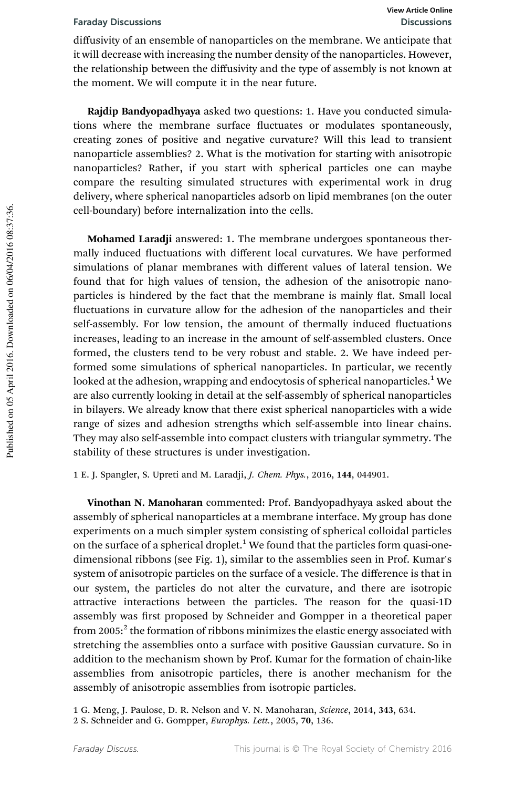diffusivity of an ensemble of nanoparticles on the membrane. We anticipate that it will decrease with increasing the number density of the nanoparticles. However, the relationship between the diffusivity and the type of assembly is not known at the moment. We will compute it in the near future.

Rajdip Bandyopadhyaya asked two questions: 1. Have you conducted simulations where the membrane surface fluctuates or modulates spontaneously, creating zones of positive and negative curvature? Will this lead to transient nanoparticle assemblies? 2. What is the motivation for starting with anisotropic nanoparticles? Rather, if you start with spherical particles one can maybe compare the resulting simulated structures with experimental work in drug delivery, where spherical nanoparticles adsorb on lipid membranes (on the outer cell-boundary) before internalization into the cells.

Mohamed Laradji answered: 1. The membrane undergoes spontaneous thermally induced fluctuations with different local curvatures. We have performed simulations of planar membranes with different values of lateral tension. We found that for high values of tension, the adhesion of the anisotropic nanoparticles is hindered by the fact that the membrane is mainly flat. Small local fluctuations in curvature allow for the adhesion of the nanoparticles and their self-assembly. For low tension, the amount of thermally induced fluctuations increases, leading to an increase in the amount of self-assembled clusters. Once formed, the clusters tend to be very robust and stable. 2. We have indeed performed some simulations of spherical nanoparticles. In particular, we recently looked at the adhesion, wrapping and endocytosis of spherical nanoparticles.<sup>1</sup> We are also currently looking in detail at the self-assembly of spherical nanoparticles in bilayers. We already know that there exist spherical nanoparticles with a wide range of sizes and adhesion strengths which self-assemble into linear chains. They may also self-assemble into compact clusters with triangular symmetry. The stability of these structures is under investigation.

1 E. J. Spangler, S. Upreti and M. Laradji, J. Chem. Phys., 2016, 144, 044901.

Vinothan N. Manoharan commented: Prof. Bandyopadhyaya asked about the assembly of spherical nanoparticles at a membrane interface. My group has done experiments on a much simpler system consisting of spherical colloidal particles on the surface of a spherical droplet.<sup>1</sup> We found that the particles form quasi-onedimensional ribbons (see Fig. 1), similar to the assemblies seen in Prof. Kumar's system of anisotropic particles on the surface of a vesicle. The difference is that in our system, the particles do not alter the curvature, and there are isotropic attractive interactions between the particles. The reason for the quasi-1D assembly was first proposed by Schneider and Gompper in a theoretical paper from 2005: $^2$  the formation of ribbons minimizes the elastic energy associated with stretching the assemblies onto a surface with positive Gaussian curvature. So in addition to the mechanism shown by Prof. Kumar for the formation of chain-like assemblies from anisotropic particles, there is another mechanism for the assembly of anisotropic assemblies from isotropic particles.

1 G. Meng, J. Paulose, D. R. Nelson and V. N. Manoharan, Science, 2014, 343, 634.

2 S. Schneider and G. Gompper, Europhys. Lett., 2005, 70, 136.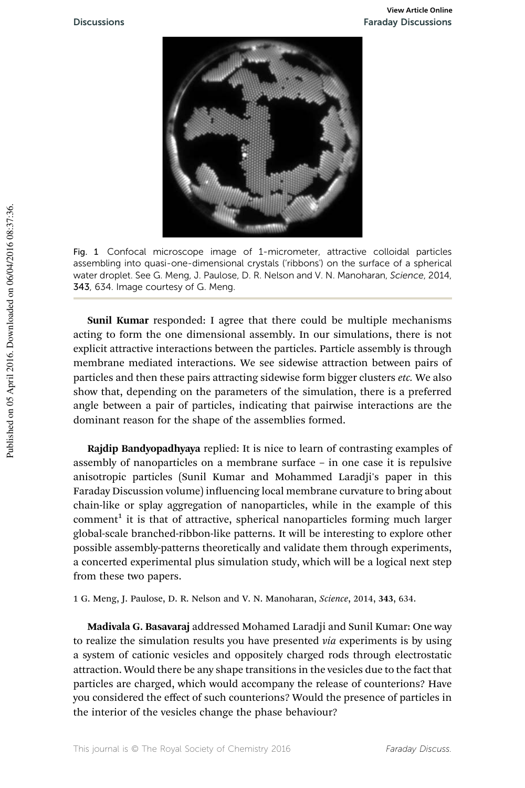

Fig. 1 Confocal microscope image of 1-micrometer, attractive colloidal particles assembling into quasi-one-dimensional crystals ('ribbons') on the surface of a spherical water droplet. See G. Meng, J. Paulose, D. R. Nelson and V. N. Manoharan, Science, 2014, 343, 634. Image courtesy of G. Meng.

Sunil Kumar responded: I agree that there could be multiple mechanisms acting to form the one dimensional assembly. In our simulations, there is not explicit attractive interactions between the particles. Particle assembly is through membrane mediated interactions. We see sidewise attraction between pairs of particles and then these pairs attracting sidewise form bigger clusters etc. We also show that, depending on the parameters of the simulation, there is a preferred angle between a pair of particles, indicating that pairwise interactions are the dominant reason for the shape of the assemblies formed.

Rajdip Bandyopadhyaya replied: It is nice to learn of contrasting examples of assembly of nanoparticles on a membrane surface – in one case it is repulsive anisotropic particles (Sunil Kumar and Mohammed Laradji's paper in this Faraday Discussion volume) influencing local membrane curvature to bring about chain-like or splay aggregation of nanoparticles, while in the example of this comment<sup>1</sup> it is that of attractive, spherical nanoparticles forming much larger global-scale branched-ribbon-like patterns. It will be interesting to explore other possible assembly-patterns theoretically and validate them through experiments, a concerted experimental plus simulation study, which will be a logical next step from these two papers.

1 G. Meng, J. Paulose, D. R. Nelson and V. N. Manoharan, Science, 2014, 343, 634.

Madivala G. Basavaraj addressed Mohamed Laradji and Sunil Kumar: One way to realize the simulation results you have presented *via* experiments is by using a system of cationic vesicles and oppositely charged rods through electrostatic attraction. Would there be any shape transitions in the vesicles due to the fact that particles are charged, which would accompany the release of counterions? Have you considered the effect of such counterions? Would the presence of particles in the interior of the vesicles change the phase behaviour?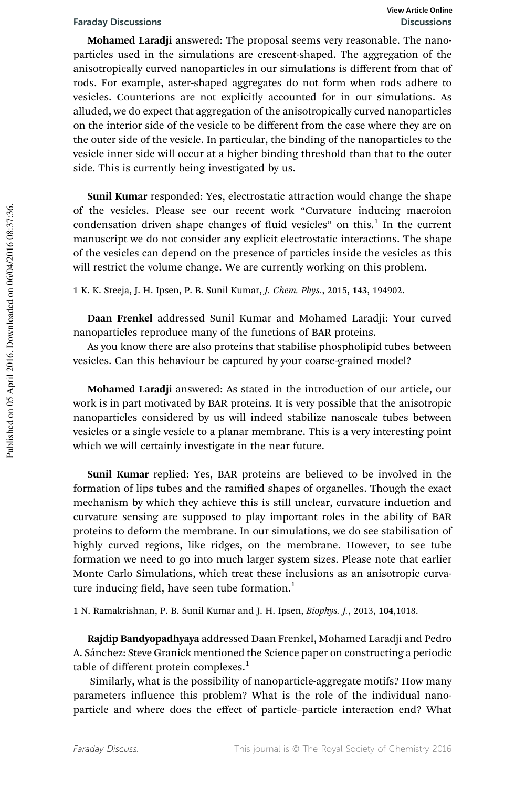Mohamed Laradji answered: The proposal seems very reasonable. The nanoparticles used in the simulations are crescent-shaped. The aggregation of the anisotropically curved nanoparticles in our simulations is different from that of rods. For example, aster-shaped aggregates do not form when rods adhere to vesicles. Counterions are not explicitly accounted for in our simulations. As alluded, we do expect that aggregation of the anisotropically curved nanoparticles on the interior side of the vesicle to be different from the case where they are on the outer side of the vesicle. In particular, the binding of the nanoparticles to the vesicle inner side will occur at a higher binding threshold than that to the outer side. This is currently being investigated by us.

Sunil Kumar responded: Yes, electrostatic attraction would change the shape of the vesicles. Please see our recent work "Curvature inducing macroion condensation driven shape changes of fluid vesicles" on this.<sup>1</sup> In the current manuscript we do not consider any explicit electrostatic interactions. The shape of the vesicles can depend on the presence of particles inside the vesicles as this will restrict the volume change. We are currently working on this problem.

1 K. K. Sreeja, J. H. Ipsen, P. B. Sunil Kumar, J. Chem. Phys., 2015, 143, 194902.

Daan Frenkel addressed Sunil Kumar and Mohamed Laradji: Your curved nanoparticles reproduce many of the functions of BAR proteins.

As you know there are also proteins that stabilise phospholipid tubes between vesicles. Can this behaviour be captured by your coarse-grained model?

Mohamed Laradji answered: As stated in the introduction of our article, our work is in part motivated by BAR proteins. It is very possible that the anisotropic nanoparticles considered by us will indeed stabilize nanoscale tubes between vesicles or a single vesicle to a planar membrane. This is a very interesting point which we will certainly investigate in the near future.

Sunil Kumar replied: Yes, BAR proteins are believed to be involved in the formation of lips tubes and the ramified shapes of organelles. Though the exact mechanism by which they achieve this is still unclear, curvature induction and curvature sensing are supposed to play important roles in the ability of BAR proteins to deform the membrane. In our simulations, we do see stabilisation of highly curved regions, like ridges, on the membrane. However, to see tube formation we need to go into much larger system sizes. Please note that earlier Monte Carlo Simulations, which treat these inclusions as an anisotropic curvature inducing field, have seen tube formation. $<sup>1</sup>$ </sup>

1 N. Ramakrishnan, P. B. Sunil Kumar and J. H. Ipsen, Biophys. J., 2013, 104,1018.

Rajdip Bandyopadhyaya addressed Daan Frenkel, Mohamed Laradji and Pedro A. Sánchez: Steve Granick mentioned the Science paper on constructing a periodic table of different protein complexes.<sup>1</sup>

Similarly, what is the possibility of nanoparticle-aggregate motifs? How many parameters influence this problem? What is the role of the individual nanoparticle and where does the effect of particle–particle interaction end? What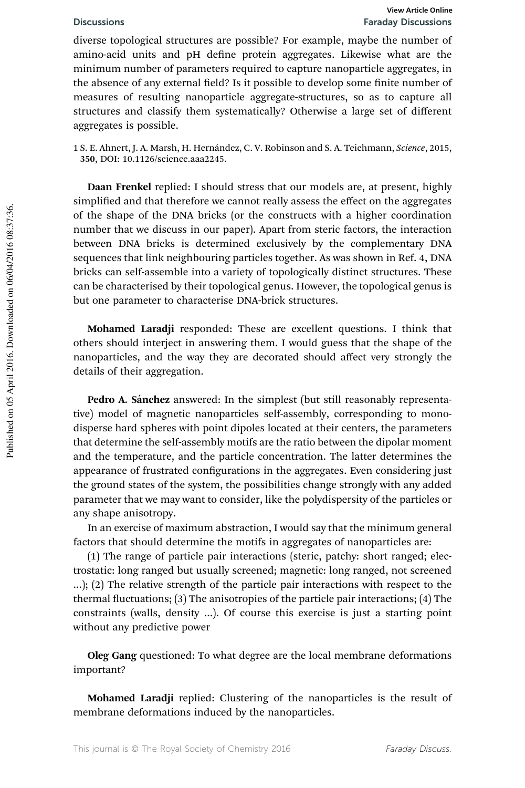diverse topological structures are possible? For example, maybe the number of amino-acid units and pH define protein aggregates. Likewise what are the minimum number of parameters required to capture nanoparticle aggregates, in the absence of any external field? Is it possible to develop some finite number of measures of resulting nanoparticle aggregate-structures, so as to capture all structures and classify them systematically? Otherwise a large set of different aggregates is possible.

1 S. E. Ahnert, J. A. Marsh, H. Hernández, C. V. Robinson and S. A. Teichmann, Science, 2015, 350, DOI: 10.1126/science.aaa2245.

Daan Frenkel replied: I should stress that our models are, at present, highly simplified and that therefore we cannot really assess the effect on the aggregates of the shape of the DNA bricks (or the constructs with a higher coordination number that we discuss in our paper). Apart from steric factors, the interaction between DNA bricks is determined exclusively by the complementary DNA sequences that link neighbouring particles together. As was shown in Ref. 4, DNA bricks can self-assemble into a variety of topologically distinct structures. These can be characterised by their topological genus. However, the topological genus is but one parameter to characterise DNA-brick structures.

Mohamed Laradji responded: These are excellent questions. I think that others should interject in answering them. I would guess that the shape of the nanoparticles, and the way they are decorated should affect very strongly the details of their aggregation.

Pedro A. Sánchez answered: In the simplest (but still reasonably representative) model of magnetic nanoparticles self-assembly, corresponding to monodisperse hard spheres with point dipoles located at their centers, the parameters that determine the self-assembly motifs are the ratio between the dipolar moment and the temperature, and the particle concentration. The latter determines the appearance of frustrated configurations in the aggregates. Even considering just the ground states of the system, the possibilities change strongly with any added parameter that we may want to consider, like the polydispersity of the particles or any shape anisotropy.

In an exercise of maximum abstraction, I would say that the minimum general factors that should determine the motifs in aggregates of nanoparticles are:

(1) The range of particle pair interactions (steric, patchy: short ranged; electrostatic: long ranged but usually screened; magnetic: long ranged, not screened ...); (2) The relative strength of the particle pair interactions with respect to the thermal fluctuations; (3) The anisotropies of the particle pair interactions; (4) The constraints (walls, density ...). Of course this exercise is just a starting point without any predictive power

Oleg Gang questioned: To what degree are the local membrane deformations important?

Mohamed Laradji replied: Clustering of the nanoparticles is the result of membrane deformations induced by the nanoparticles.